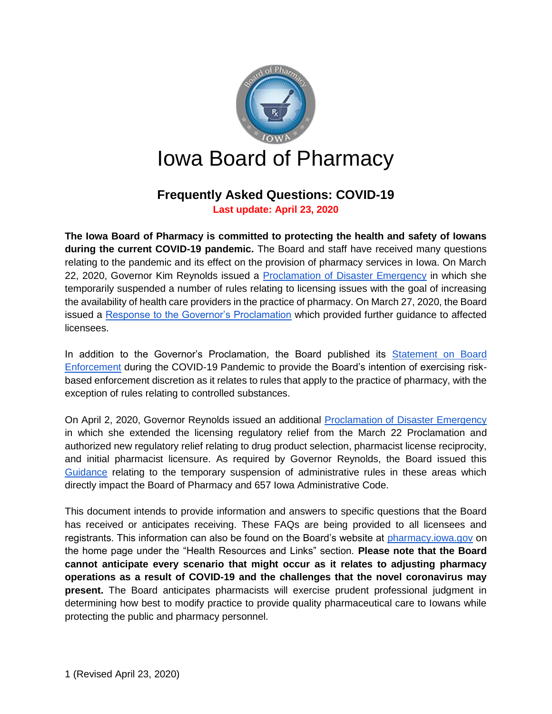

# **Frequently Asked Questions: COVID-19**

**Last update: April 23, 2020**

**The Iowa Board of Pharmacy is committed to protecting the health and safety of Iowans during the current COVID-19 pandemic.** The Board and staff have received many questions relating to the pandemic and its effect on the provision of pharmacy services in Iowa. On March 22, 2020, Governor Kim Reynolds issued a [Proclamation of Disaster Emergency](https://governor.iowa.gov/sites/default/files/documents/Public%20Health%20Proclamation%20-%202020.03.22.pdf) in which she temporarily suspended a number of rules relating to licensing issues with the goal of increasing the availability of health care providers in the practice of pharmacy. On March 27, 2020, the Board issued a [Response to the Governor's Proclamation](https://pharmacy.iowa.gov/press-release/2020-03-27/board-pharmacy-response-governors-proclamation) which provided further guidance to affected licensees.

In addition to the Governor's Proclamation, the Board published its [Statement on Board](https://pharmacy.iowa.gov/sites/default/files/documents/2020/03/bop_statement.pdf)  [Enforcement](https://pharmacy.iowa.gov/sites/default/files/documents/2020/03/bop_statement.pdf) during the COVID-19 Pandemic to provide the Board's intention of exercising riskbased enforcement discretion as it relates to rules that apply to the practice of pharmacy, with the exception of rules relating to controlled substances.

On April 2, 2020, Governor Reynolds issued an additional [Proclamation of Disaster Emergency](https://governor.iowa.gov/sites/default/files/documents/Public%20Health%20Disaster%20Proclamation%20-%202020.04.02.pdf) in which she extended the licensing regulatory relief from the March 22 Proclamation and authorized new regulatory relief relating to drug product selection, pharmacist license reciprocity, and initial pharmacist licensure. As required by Governor Reynolds, the Board issued this [Guidance](https://pharmacy.iowa.gov/sites/default/files/documents/2020/04/board_response_to_proclamation_final.pdf) relating to the temporary suspension of administrative rules in these areas which directly impact the Board of Pharmacy and 657 Iowa Administrative Code.

This document intends to provide information and answers to specific questions that the Board has received or anticipates receiving. These FAQs are being provided to all licensees and registrants. This information can also be found on the Board's website at [pharmacy.iowa.gov](https://pharmacy.iowa.gov/) on the home page under the "Health Resources and Links" section. **Please note that the Board cannot anticipate every scenario that might occur as it relates to adjusting pharmacy operations as a result of COVID-19 and the challenges that the novel coronavirus may present.** The Board anticipates pharmacists will exercise prudent professional judgment in determining how best to modify practice to provide quality pharmaceutical care to Iowans while protecting the public and pharmacy personnel.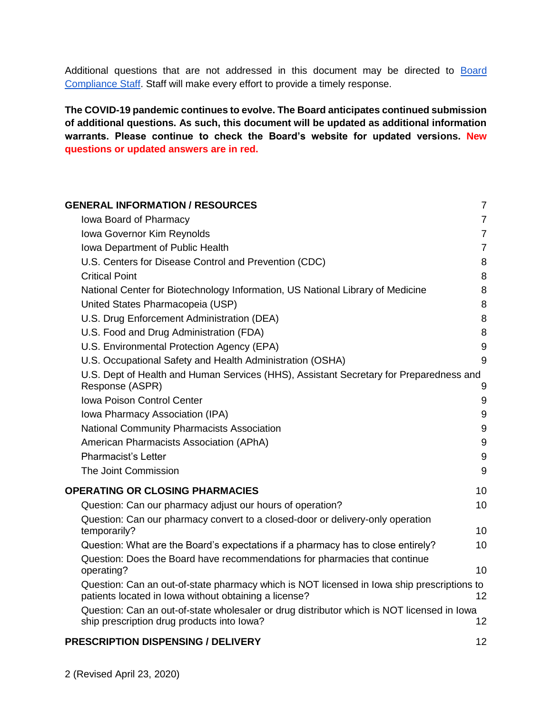Additional questions that are not addressed in this document may be directed to Board [Compliance Staff.](https://pharmacy.iowa.gov/contact-us/board-compliance-officers) Staff will make every effort to provide a timely response.

**The COVID-19 pandemic continues to evolve. The Board anticipates continued submission of additional questions. As such, this document will be updated as additional information warrants. Please continue to check the Board's website for updated versions. New questions or updated answers are in red.**

| <b>GENERAL INFORMATION / RESOURCES</b>                                                                                                              | $\overline{7}$   |
|-----------------------------------------------------------------------------------------------------------------------------------------------------|------------------|
| Iowa Board of Pharmacy                                                                                                                              | $\overline{7}$   |
| Iowa Governor Kim Reynolds                                                                                                                          | $\overline{7}$   |
| Iowa Department of Public Health                                                                                                                    | $\overline{7}$   |
| U.S. Centers for Disease Control and Prevention (CDC)                                                                                               | 8                |
| <b>Critical Point</b>                                                                                                                               | 8                |
| National Center for Biotechnology Information, US National Library of Medicine                                                                      | 8                |
| United States Pharmacopeia (USP)                                                                                                                    | 8                |
| U.S. Drug Enforcement Administration (DEA)                                                                                                          | 8                |
| U.S. Food and Drug Administration (FDA)                                                                                                             | 8                |
| U.S. Environmental Protection Agency (EPA)                                                                                                          | $9\,$            |
| U.S. Occupational Safety and Health Administration (OSHA)                                                                                           | 9                |
| U.S. Dept of Health and Human Services (HHS), Assistant Secretary for Preparedness and<br>Response (ASPR)                                           | 9                |
| <b>Iowa Poison Control Center</b>                                                                                                                   | 9                |
| Iowa Pharmacy Association (IPA)                                                                                                                     | 9                |
| National Community Pharmacists Association                                                                                                          | 9                |
| American Pharmacists Association (APhA)                                                                                                             | $\boldsymbol{9}$ |
| <b>Pharmacist's Letter</b>                                                                                                                          | $\boldsymbol{9}$ |
| The Joint Commission                                                                                                                                | 9                |
| <b>OPERATING OR CLOSING PHARMACIES</b>                                                                                                              | 10               |
| Question: Can our pharmacy adjust our hours of operation?                                                                                           | 10               |
| Question: Can our pharmacy convert to a closed-door or delivery-only operation                                                                      |                  |
| temporarily?                                                                                                                                        | 10 <sup>1</sup>  |
| Question: What are the Board's expectations if a pharmacy has to close entirely?                                                                    | 10               |
| Question: Does the Board have recommendations for pharmacies that continue<br>operating?                                                            | 10               |
| Question: Can an out-of-state pharmacy which is NOT licensed in lowa ship prescriptions to<br>patients located in lowa without obtaining a license? | 12               |
| Question: Can an out-of-state wholesaler or drug distributor which is NOT licensed in lowa<br>ship prescription drug products into lowa?            | 12               |
|                                                                                                                                                     |                  |

#### **[PRESCRIPTION DISPENSING / DELIVERY](#page-11-2)** 12 12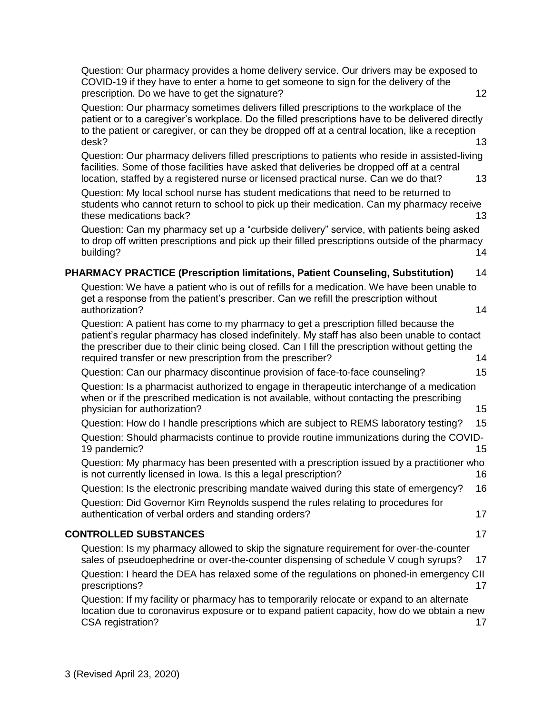[Question: Our pharmacy provides a home delivery service. Our](#page-11-3) drivers may be exposed to [COVID-19 if they have to enter a home to get someone to sign for the delivery of the](#page-11-3)  [prescription. Do we have to get the signature?](#page-11-3) 12

[Question: Our pharmacy sometimes delivers filled prescriptions to the workplace of the](#page-12-0)  [patient or to a caregiver's workplace. Do the filled prescriptions have to be delivered directly](#page-12-0)  [to the patient or caregiver, or can they be dropped off at a central location, like a reception](#page-12-0)  [desk?](#page-12-0) 13

[Question: Our pharmacy delivers filled prescriptions to patients who reside in assisted-living](#page-12-1)  [facilities. Some of those facilities have asked that deliveries be dropped off at a central](#page-12-1)  [location, staffed by a registered nurse or licensed practical nurse. Can we do that?](#page-12-1) 13

[Question: My local school nurse has student medications that need to be returned to](#page-12-2)  [students who cannot return to school to pick up their medication. Can my pharmacy receive](#page-12-2)  [these medications back?](#page-12-2) 13

[Question: Can my pharmacy set up a "curbside delivery" service, with patients being asked](#page-13-0)  [to drop off written prescriptions and pick up their filled prescriptions outside of the pharmacy](#page-13-0)  [building?](#page-13-0) 14

# **[PHARMACY PRACTICE \(Prescription limitations, Patient Counseling, Substitution\)](#page-13-1)** 14

[Question: We have a patient who is out of refills for a medication. We have been unable to](#page-13-2)  [get a response from the patient's prescriber. Can we refill the prescription without](#page-13-2)  [authorization?](#page-13-2) 14

[Question: A patient has come to my pharmacy to get a prescription filled because the](#page-13-3)  [patient's regular pharmacy has closed indefinitely. My staff has also been unable to contact](#page-13-3)  [the prescriber due to their clinic being closed. Can I fill the prescription without getting the](#page-13-3)  [required transfer or new prescription from the prescriber?](#page-13-3) 14

[Question: Can our pharmacy discontinue provision](#page-14-0) of face-to-face counseling? 15

[Question: Is a pharmacist authorized to engage in therapeutic interchange of a medication](#page-14-1)  [when or if the prescribed medication is not available, without contacting the prescribing](#page-14-1)  [physician for authorization?](#page-14-1) 15

Question: [How do I handle prescriptions which are subject to REMS laboratory testing?](#page-14-2) 15 [Question: Should pharmacists continue to provide routine immunizations during the COVID-](#page-14-3)[19 pandemic?](#page-14-3) 15

[Question: My pharmacy has been presented with a prescription issued by a practitioner who](#page-15-0)  [is not currently licensed in Iowa. Is this a legal prescription?](#page-15-0) 16

[Question: Is the electronic prescribing mandate waived during this state of emergency?](#page-15-1) 16 [Question: Did Governor Kim Reynolds suspend the rules relating to procedures for](#page-16-0)  [authentication of verbal orders and standing orders?](#page-16-0) 17

# **[CONTROLLED SUBSTANCES](#page-16-1)** 17

[Question: Is my pharmacy allowed to skip the signature requirement for over-the-counter](#page-16-2)  [sales of pseudoephedrine or over-the-counter dispensing of schedule V cough syrups?](#page-16-2) 17 [Question: I heard the DEA has relaxed some of the regulations on phoned-in emergency CII](#page-16-3)  [prescriptions?](#page-16-3) 17

[Question: If my facility or pharmacy has to temporarily relocate or expand to an alternate](#page-16-4)  [location due to coronavirus exposure or to expand patient capacity, how do we obtain a new](#page-16-4)  [CSA registration?](#page-16-4) 17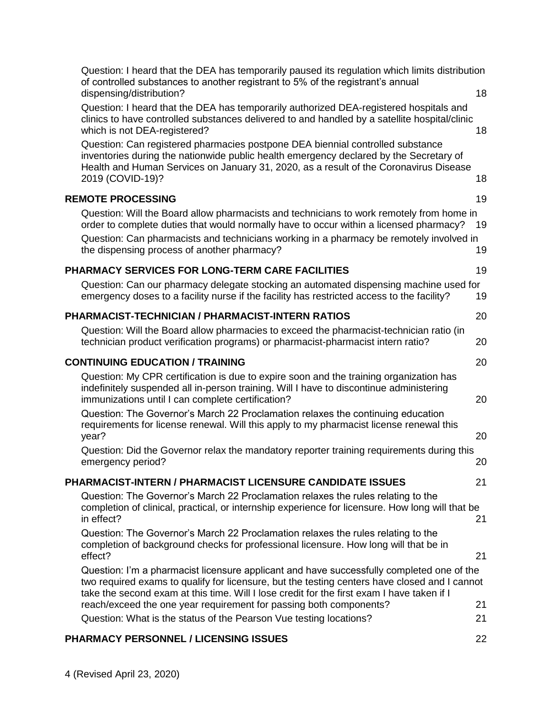| Question: I heard that the DEA has temporarily paused its regulation which limits distribution<br>of controlled substances to another registrant to 5% of the registrant's annual<br>dispensing/distribution?<br>Question: I heard that the DEA has temporarily authorized DEA-registered hospitals and | 18       |
|---------------------------------------------------------------------------------------------------------------------------------------------------------------------------------------------------------------------------------------------------------------------------------------------------------|----------|
| clinics to have controlled substances delivered to and handled by a satellite hospital/clinic<br>which is not DEA-registered?<br>Question: Can registered pharmacies postpone DEA biennial controlled substance                                                                                         | 18       |
| inventories during the nationwide public health emergency declared by the Secretary of<br>Health and Human Services on January 31, 2020, as a result of the Coronavirus Disease<br>2019 (COVID-19)?                                                                                                     | 18       |
| <b>REMOTE PROCESSING</b>                                                                                                                                                                                                                                                                                | 19       |
| Question: Will the Board allow pharmacists and technicians to work remotely from home in<br>order to complete duties that would normally have to occur within a licensed pharmacy?                                                                                                                      | 19       |
| Question: Can pharmacists and technicians working in a pharmacy be remotely involved in<br>the dispensing process of another pharmacy?                                                                                                                                                                  | 19       |
| <b>PHARMACY SERVICES FOR LONG-TERM CARE FACILITIES</b>                                                                                                                                                                                                                                                  | 19       |
| Question: Can our pharmacy delegate stocking an automated dispensing machine used for<br>emergency doses to a facility nurse if the facility has restricted access to the facility?                                                                                                                     | 19       |
| <b>PHARMACIST-TECHNICIAN / PHARMACIST-INTERN RATIOS</b>                                                                                                                                                                                                                                                 | 20       |
| Question: Will the Board allow pharmacies to exceed the pharmacist-technician ratio (in<br>technician product verification programs) or pharmacist-pharmacist intern ratio?                                                                                                                             | 20       |
| <b>CONTINUING EDUCATION / TRAINING</b>                                                                                                                                                                                                                                                                  | 20       |
| Question: My CPR certification is due to expire soon and the training organization has<br>indefinitely suspended all in-person training. Will I have to discontinue administering<br>immunizations until I can complete certification?                                                                  | 20       |
| Question: The Governor's March 22 Proclamation relaxes the continuing education<br>requirements for license renewal. Will this apply to my pharmacist license renewal this<br>year?                                                                                                                     | 20       |
| Question: Did the Governor relax the mandatory reporter training requirements during this<br>emergency period?                                                                                                                                                                                          | 20       |
| <b>PHARMACIST-INTERN / PHARMACIST LICENSURE CANDIDATE ISSUES</b>                                                                                                                                                                                                                                        | 21       |
| Question: The Governor's March 22 Proclamation relaxes the rules relating to the<br>completion of clinical, practical, or internship experience for licensure. How long will that be<br>in effect?                                                                                                      | 21       |
| Question: The Governor's March 22 Proclamation relaxes the rules relating to the<br>completion of background checks for professional licensure. How long will that be in<br>effect?                                                                                                                     | 21       |
| Question: I'm a pharmacist licensure applicant and have successfully completed one of the<br>two required exams to qualify for licensure, but the testing centers have closed and I cannot<br>take the second exam at this time. Will I lose credit for the first exam I have taken if I                |          |
| reach/exceed the one year requirement for passing both components?<br>Question: What is the status of the Pearson Vue testing locations?                                                                                                                                                                | 21<br>21 |
|                                                                                                                                                                                                                                                                                                         |          |
| <b>PHARMACY PERSONNEL / LICENSING ISSUES</b>                                                                                                                                                                                                                                                            | 22       |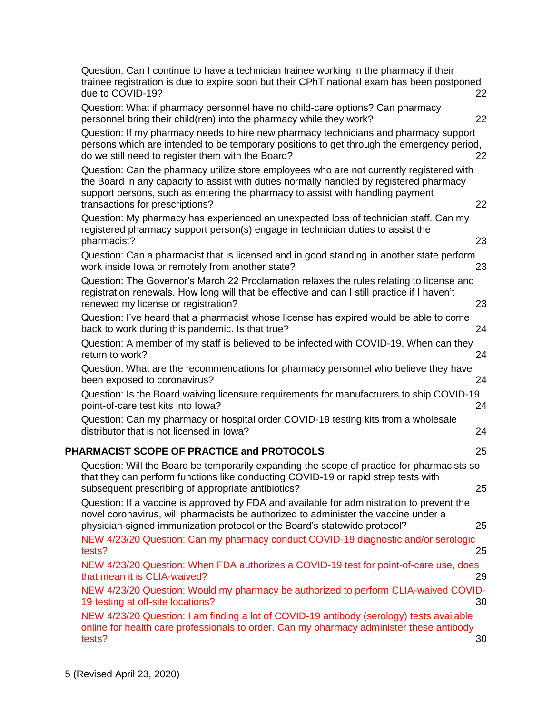| Question: Can I continue to have a technician trainee working in the pharmacy if their<br>trainee registration is due to expire soon but their CPhT national exam has been postponed<br>due to COVID-19?                                                                                                 | 22 |
|----------------------------------------------------------------------------------------------------------------------------------------------------------------------------------------------------------------------------------------------------------------------------------------------------------|----|
| Question: What if pharmacy personnel have no child-care options? Can pharmacy<br>personnel bring their child(ren) into the pharmacy while they work?                                                                                                                                                     | 22 |
| Question: If my pharmacy needs to hire new pharmacy technicians and pharmacy support<br>persons which are intended to be temporary positions to get through the emergency period,<br>do we still need to register them with the Board?                                                                   | 22 |
| Question: Can the pharmacy utilize store employees who are not currently registered with<br>the Board in any capacity to assist with duties normally handled by registered pharmacy<br>support persons, such as entering the pharmacy to assist with handling payment<br>transactions for prescriptions? | 22 |
| Question: My pharmacy has experienced an unexpected loss of technician staff. Can my<br>registered pharmacy support person(s) engage in technician duties to assist the<br>pharmacist?                                                                                                                   | 23 |
| Question: Can a pharmacist that is licensed and in good standing in another state perform<br>work inside lowa or remotely from another state?                                                                                                                                                            | 23 |
| Question: The Governor's March 22 Proclamation relaxes the rules relating to license and<br>registration renewals. How long will that be effective and can I still practice if I haven't<br>renewed my license or registration?                                                                          | 23 |
| Question: I've heard that a pharmacist whose license has expired would be able to come<br>back to work during this pandemic. Is that true?                                                                                                                                                               | 24 |
| Question: A member of my staff is believed to be infected with COVID-19. When can they<br>return to work?                                                                                                                                                                                                | 24 |
| Question: What are the recommendations for pharmacy personnel who believe they have<br>been exposed to coronavirus?                                                                                                                                                                                      | 24 |
| Question: Is the Board waiving licensure requirements for manufacturers to ship COVID-19<br>point-of-care test kits into lowa?                                                                                                                                                                           | 24 |
| Question: Can my pharmacy or hospital order COVID-19 testing kits from a wholesale<br>distributor that is not licensed in lowa?                                                                                                                                                                          | 24 |
| PHARMACIST SCOPE OF PRACTICE and PROTOCOLS                                                                                                                                                                                                                                                               | 25 |
| Question: Will the Board be temporarily expanding the scope of practice for pharmacists so<br>that they can perform functions like conducting COVID-19 or rapid strep tests with<br>subsequent prescribing of appropriate antibiotics?                                                                   | 25 |
| Question: If a vaccine is approved by FDA and available for administration to prevent the<br>novel coronavirus, will pharmacists be authorized to administer the vaccine under a<br>physician-signed immunization protocol or the Board's statewide protocol?                                            | 25 |
| NEW 4/23/20 Question: Can my pharmacy conduct COVID-19 diagnostic and/or serologic<br>tests?                                                                                                                                                                                                             | 25 |
| NEW 4/23/20 Question: When FDA authorizes a COVID-19 test for point-of-care use, does<br>that mean it is CLIA-waived?                                                                                                                                                                                    | 29 |
| NEW 4/23/20 Question: Would my pharmacy be authorized to perform CLIA-waived COVID-<br>19 testing at off-site locations?                                                                                                                                                                                 | 30 |
| NEW 4/23/20 Question: I am finding a lot of COVID-19 antibody (serology) tests available<br>online for health care professionals to order. Can my pharmacy administer these antibody<br>tests?                                                                                                           | 30 |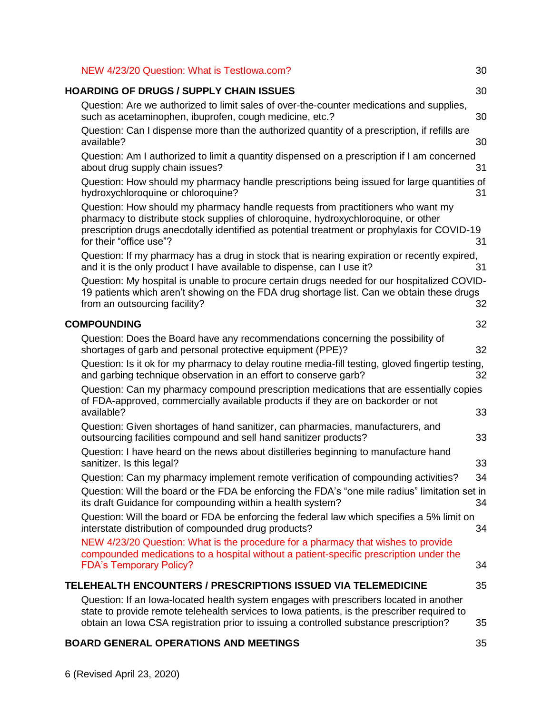| NEW 4/23/20 Question: What is Testlowa.com?                                                                                                                                                                                                                                                      | 30 |
|--------------------------------------------------------------------------------------------------------------------------------------------------------------------------------------------------------------------------------------------------------------------------------------------------|----|
| <b>HOARDING OF DRUGS / SUPPLY CHAIN ISSUES</b>                                                                                                                                                                                                                                                   | 30 |
| Question: Are we authorized to limit sales of over-the-counter medications and supplies,<br>such as acetaminophen, ibuprofen, cough medicine, etc.?                                                                                                                                              | 30 |
| Question: Can I dispense more than the authorized quantity of a prescription, if refills are<br>available?                                                                                                                                                                                       | 30 |
| Question: Am I authorized to limit a quantity dispensed on a prescription if I am concerned<br>about drug supply chain issues?                                                                                                                                                                   | 31 |
| Question: How should my pharmacy handle prescriptions being issued for large quantities of<br>hydroxychloroquine or chloroquine?                                                                                                                                                                 | 31 |
| Question: How should my pharmacy handle requests from practitioners who want my<br>pharmacy to distribute stock supplies of chloroquine, hydroxychloroquine, or other<br>prescription drugs anecdotally identified as potential treatment or prophylaxis for COVID-19<br>for their "office use"? | 31 |
| Question: If my pharmacy has a drug in stock that is nearing expiration or recently expired,<br>and it is the only product I have available to dispense, can I use it?                                                                                                                           | 31 |
| Question: My hospital is unable to procure certain drugs needed for our hospitalized COVID-<br>19 patients which aren't showing on the FDA drug shortage list. Can we obtain these drugs<br>from an outsourcing facility?                                                                        | 32 |
| <b>COMPOUNDING</b>                                                                                                                                                                                                                                                                               | 32 |
| Question: Does the Board have any recommendations concerning the possibility of<br>shortages of garb and personal protective equipment (PPE)?                                                                                                                                                    | 32 |
| Question: Is it ok for my pharmacy to delay routine media-fill testing, gloved fingertip testing,<br>and garbing technique observation in an effort to conserve garb?                                                                                                                            | 32 |
| Question: Can my pharmacy compound prescription medications that are essentially copies<br>of FDA-approved, commercially available products if they are on backorder or not                                                                                                                      |    |
| available?<br>Question: Given shortages of hand sanitizer, can pharmacies, manufacturers, and                                                                                                                                                                                                    | 33 |
| outsourcing facilities compound and sell hand sanitizer products?                                                                                                                                                                                                                                | 33 |
| Question: I have heard on the news about distilleries beginning to manufacture hand<br>sanitizer. Is this legal?                                                                                                                                                                                 | 33 |
| Question: Can my pharmacy implement remote verification of compounding activities?                                                                                                                                                                                                               | 34 |
| Question: Will the board or the FDA be enforcing the FDA's "one mile radius" limitation set in<br>its draft Guidance for compounding within a health system?                                                                                                                                     | 34 |
| Question: Will the board or FDA be enforcing the federal law which specifies a 5% limit on<br>interstate distribution of compounded drug products?                                                                                                                                               | 34 |
| NEW 4/23/20 Question: What is the procedure for a pharmacy that wishes to provide<br>compounded medications to a hospital without a patient-specific prescription under the<br><b>FDA's Temporary Policy?</b>                                                                                    | 34 |
| <b>TELEHEALTH ENCOUNTERS / PRESCRIPTIONS ISSUED VIA TELEMEDICINE</b>                                                                                                                                                                                                                             | 35 |
| Question: If an Iowa-located health system engages with prescribers located in another<br>state to provide remote telehealth services to lowa patients, is the prescriber required to<br>obtain an Iowa CSA registration prior to issuing a controlled substance prescription?                   | 35 |

# **BOARD GENERAL [OPERATIONS AND MEETINGS](#page-34-2)** 35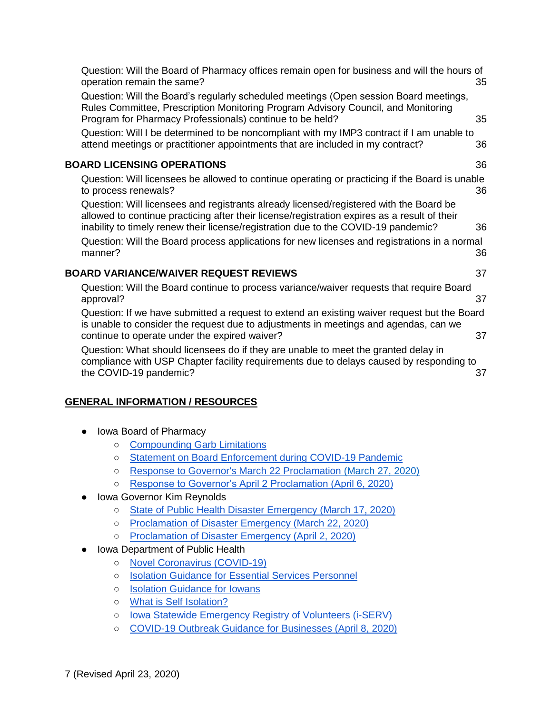[operation remain the same?](#page-34-3) 35 [Question: Will the Board's regularly scheduled meetings \(Open session Board meetings,](#page-34-4)  [Rules Committee, Prescription Monitoring Program Advisory Council, and Monitoring](#page-34-4)  [Program for Pharmacy Professionals\) continue to be held?](#page-34-4) 35 [Question: Will I be determined to be noncompliant with my IMP3 contract if I am unable to](#page-35-0)  [attend meetings or practitioner appointments that are included in my contract?](#page-35-0) 36 **[BOARD LICENSING OPERATIONS](#page-35-1)** 36 [Question: Will licensees be allowed to continue operating or practicing if the Board is unable](#page-35-2)  [to process renewals?](#page-35-2) 36 [Question: Will licensees and registrants already licensed/registered with the Board be](#page-35-3)  [allowed to continue practicing after their license/registration expires as a](#page-35-3) result of their [inability to timely renew their license/registration due to the COVID-19 pandemic?](#page-35-3) 36 [Question: Will the Board process applications for new licenses and registrations in a normal](#page-35-4)  [manner?](#page-35-4) 36 **[BOARD VARIANCE/WAIVER REQUEST REVIEWS](#page-36-0)** 37 [Question: Will the Board continue to process variance/waiver requests that require Board](#page-36-1)  [approval?](#page-36-1) 37 [Question: If we have submitted a request to extend an existing waiver request but the Board](#page-36-2)  [is unable to consider the request due to adjustments in meetings and agendas, can we](#page-36-2)  [continue to operate under the expired waiver?](#page-36-2)  $37$ 

[Question: Will the Board of Pharmacy offices remain open for business and will the hours of](#page-34-3) 

[Question: What should licensees do if they are unable to](#page-36-3) meet the granted delay in [compliance with USP Chapter facility requirements due to delays caused by responding to](#page-36-3)  [the COVID-19 pandemic?](#page-36-3) 37

# <span id="page-6-1"></span><span id="page-6-0"></span>**GENERAL INFORMATION / RESOURCES**

- Iowa Board of Pharmacy
	- [Compounding Garb Limitations](https://pharmacy.iowa.gov/press-release/2020-03-09/what-should-my-pharmacy-do-if-we-have-limited-supplies-compounding-garb)
	- [Statement on Board Enforcement during COVID-19 Pandemic](https://pharmacy.iowa.gov/sites/default/files/documents/2020/03/bop_statement.pdf)
	- [Response to Governor's March 22 Proclamation](https://pharmacy.iowa.gov/press-release/2020-03-27/board-pharmacy-response-governors-proclamation) [\(March 27, 2020\)](https://pharmacy.iowa.gov/press-release/2020-03-27/board-pharmacy-response-governors-proclamation)
	- [Response to Governor's April 2 Proclamation \(April 6, 2020\)](https://pharmacy.iowa.gov/sites/default/files/documents/2020/04/board_response_to_proclamation_final.pdf)
- <span id="page-6-2"></span>**Iowa Governor Kim Reynolds** 
	- [State of Public Health Disaster Emergency \(March 17, 2020\)](https://governor.iowa.gov/press-release/gov-reynolds-issues-a-state-of-public-health-disaster-emergency)
	- [Proclamation of Disaster Emergency \(March 22, 2020\)](https://governor.iowa.gov/sites/default/files/documents/Public%20Health%20Proclamation%20-%202020.03.22.pdf)
	- [Proclamation of Disaster Emergency \(April 2, 2020\)](https://governor.iowa.gov/sites/default/files/documents/Public%20Health%20Disaster%20Proclamation%20-%202020.04.02.pdf)
- <span id="page-6-3"></span>● Iowa Department of Public Health
	- [Novel Coronavirus \(COVID-19\)](https://idph.iowa.gov/Emerging-Health-Issues/Novel-Coronavirus)
	- [Isolation Guidance for Essential Services Personnel](https://idph.iowa.gov/Portals/1/userfiles/7/3222020UpdatedIsolation%20guidance%20for%20Iowa%20essential%20services%20personnel.pdf)
	- [Isolation Guidance for Iowans](https://idph.iowa.gov/Portals/1/userfiles/7/3_18_20%20Isolation%20guidance%20for%20Iowans.pdf)
	- [What is Self Isolation?](https://idph.iowa.gov/Portals/1/userfiles/7/31820WhatIsSelfIsolation.pdf)
	- [Iowa Statewide Emergency Registry of Volunteers \(i-SERV\)](https://www.iaserv.org/)
	- [COVID-19 Outbreak Guidance for Businesses \(April 8, 2020\)](https://idph.iowa.gov/Portals/1/userfiles/7/Business%20Guidance.pdf)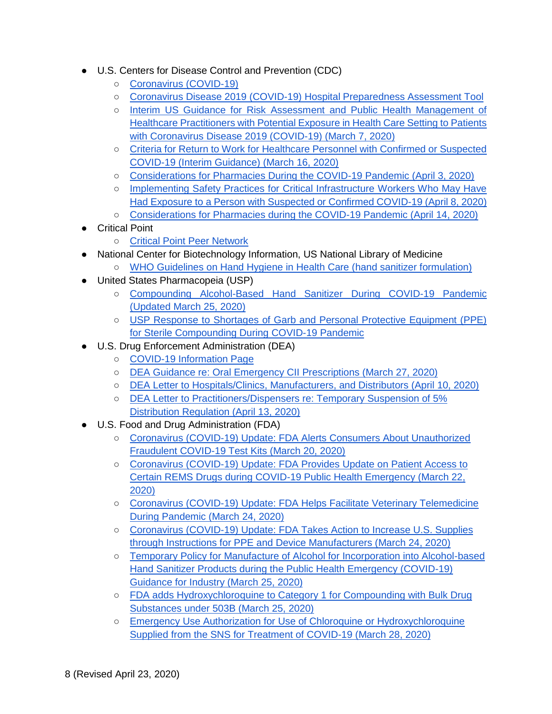- <span id="page-7-0"></span>● U.S. Centers for Disease Control and Prevention (CDC)
	- [Coronavirus \(COVID-19\)](https://www.cdc.gov/coronavirus/2019-ncov/index.html)
	- [Coronavirus Disease 2019 \(COVID-19\) Hospital Preparedness Assessment Tool](https://www.cdc.gov/coronavirus/2019-ncov/downloads/hospital-preparedness-checklist.pdf)
	- [Interim US Guidance for Risk Assessment and Public Health Management of](https://www.cdc.gov/coronavirus/2019-ncov/hcp/guidance-risk-assesment-hcp.html)  [Healthcare Practitioners with Potential Exposure in Health Care Setting to Patients](https://www.cdc.gov/coronavirus/2019-ncov/hcp/guidance-risk-assesment-hcp.html)  [with Coronavirus Disease 2019 \(COVID-19\) \(March 7, 2020\)](https://www.cdc.gov/coronavirus/2019-ncov/hcp/guidance-risk-assesment-hcp.html)
	- [Criteria for Return to Work for Healthcare Personnel with Confirmed or Suspected](https://www.cdc.gov/coronavirus/2019-ncov/healthcare-facilities/hcp-return-work.html)  [COVID-19 \(Interim Guidance\) \(March 16, 2020\)](https://www.cdc.gov/coronavirus/2019-ncov/healthcare-facilities/hcp-return-work.html)
	- [Considerations for Pharmacies During the COVID-19 Pandemic \(April 3, 2020\)](https://www.cdc.gov/coronavirus/2019-ncov/healthcare-resources/pharmacies.html)
	- Implementing Safety Practices for Critical Infrastructure Workers Who May Have [Had Exposure to a Person with Suspected or Confirmed COVID-19 \(April 8, 2020\)](https://www.cdc.gov/coronavirus/2019-ncov/community/critical-workers/implementing-safety-practices.html)
	- [Considerations for Pharmacies during the COVID-19 Pandemic \(April 14, 2020\)](https://www.cdc.gov/coronavirus/2019-ncov/hcp/pharmacies.html)
- <span id="page-7-1"></span>**Critical Point** 
	- [Critical Point Peer Network](https://peernetwork.criticalpoint.info/login)
- <span id="page-7-2"></span>National Center for Biotechnology Information, US National Library of Medicine
	- [WHO Guidelines on Hand Hygiene in Health Care \(hand sanitizer formulation\)](https://www.ncbi.nlm.nih.gov/books/NBK144054/)
- <span id="page-7-3"></span>● United States Pharmacopeia (USP)
	- [Compounding Alcohol-Based Hand Sanitizer During COVID-19 Pandemic](https://www.usp.org/sites/default/files/usp/document/about/public-policy/usp-covid19-handrub.pdf)  [\(Updated March 25, 2020\)](https://www.usp.org/sites/default/files/usp/document/about/public-policy/usp-covid19-handrub.pdf)
	- [USP Response to Shortages of Garb and Personal Protective Equipment \(PPE\)](https://www.usp.org/sites/default/files/usp/document/about/public-policy/usp-covid19-garb-and-ppe.pdf)  [for Sterile Compounding During COVID-19 Pandemic](https://www.usp.org/sites/default/files/usp/document/about/public-policy/usp-covid19-garb-and-ppe.pdf)
- <span id="page-7-4"></span>● U.S. Drug Enforcement Administration (DEA)
	- [COVID-19 Information Page](https://www.deadiversion.usdoj.gov/coronavirus.html)
	- [DEA Guidance re: Oral Emergency CII Prescriptions \(March 27, 2020\)](https://www.deadiversion.usdoj.gov/GDP/(DEA-DC-021)(DEA073)%20Oral%20CII%20for%20regular%20CII%20scirpt%20(Final)%20+Esign%20a.pdf)
	- [DEA Letter to Hospitals/Clinics, Manufacturers, and Distributors \(April 10, 2020\)](https://www.deadiversion.usdoj.gov/GDP/(DEA-DC-028)(DEA084)_Hospital_Clinic_Registration_Exception_(final).pdf)
	- [DEA Letter to Practitioners/Dispensers re: Temporary Suspension of 5%](https://www.deadiversion.usdoj.gov/GDP/(DEA-DC-029)(DEA085)_DEA_5_percent_practitioner_exception_(final).pdf)  [Distribution Regulation \(April 13, 2020\)](https://www.deadiversion.usdoj.gov/GDP/(DEA-DC-029)(DEA085)_DEA_5_percent_practitioner_exception_(final).pdf)
- <span id="page-7-5"></span>● U.S. Food and Drug Administration (FDA)
	- [Coronavirus \(COVID-19\) Update: FDA Alerts Consumers About Unauthorized](https://www.fda.gov/news-events/press-announcements/coronavirus-covid-19-update-fda-alerts-consumers-about-unauthorized-fraudulent-covid-19-test-kits?utm_campaign=032020_PR_FDA%20alerts%20Consumers%20about%20Unauthorized%20Fraudulent%20COVID-19%20Test%20Kits&utm_medium=email&utm_source=Eloqua)  [Fraudulent COVID-19 Test Kits \(March 20, 2020\)](https://www.fda.gov/news-events/press-announcements/coronavirus-covid-19-update-fda-alerts-consumers-about-unauthorized-fraudulent-covid-19-test-kits?utm_campaign=032020_PR_FDA%20alerts%20Consumers%20about%20Unauthorized%20Fraudulent%20COVID-19%20Test%20Kits&utm_medium=email&utm_source=Eloqua)
	- Coronavirus (COVID-19) Update: FDA Provides Update on Patient Access to [Certain REMS Drugs during COVID-19 Public Health Emergency \(March 22,](https://www.fda.gov/news-events/press-announcements/coronavirus-covid-19-update-fda-provides-update-patient-access-certain-rems-drugs-during-covid-19?utm_campaign=032220_PR_FDA%20provides%20update%20on%20patient%20access%20to%20certain%20REMS%20drugs%20during%20COVID-19&utm_medium=email&utm_source=Eloqua)  [2020\)](https://www.fda.gov/news-events/press-announcements/coronavirus-covid-19-update-fda-provides-update-patient-access-certain-rems-drugs-during-covid-19?utm_campaign=032220_PR_FDA%20provides%20update%20on%20patient%20access%20to%20certain%20REMS%20drugs%20during%20COVID-19&utm_medium=email&utm_source=Eloqua)
	- [Coronavirus \(COVID-19\) Update: FDA Helps Facilitate Veterinary Telemedicine](https://www.fda.gov/news-events/press-announcements/coronavirus-covid-19-update-fda-helps-facilitate-veterinary-telemedicine-during-pandemic?utm_campaign=032420_PR_FDA%20Helps%20Facilitate%20Veterinary%20Telemedicine%20During%20COVID-19%20Pandemic&utm_medium=email&utm_source=Eloqua)  [During Pandemic \(March 24, 2020\)](https://www.fda.gov/news-events/press-announcements/coronavirus-covid-19-update-fda-helps-facilitate-veterinary-telemedicine-during-pandemic?utm_campaign=032420_PR_FDA%20Helps%20Facilitate%20Veterinary%20Telemedicine%20During%20COVID-19%20Pandemic&utm_medium=email&utm_source=Eloqua)
	- [Coronavirus \(COVID-19\) Update: FDA Takes Action to Increase U.S. Supplies](https://www.fda.gov/news-events/press-announcements/coronavirus-covid-19-update-fda-takes-action-increase-us-supplies-through-instructions-ppe-and)  [through Instructions for PPE and Device Manufacturers \(March 24, 2020\)](https://www.fda.gov/news-events/press-announcements/coronavirus-covid-19-update-fda-takes-action-increase-us-supplies-through-instructions-ppe-and)
	- [Temporary Policy for Manufacture of Alcohol for Incorporation into Alcohol-based](https://www.fda.gov/media/136390/download)  [Hand Sanitizer Products during the Public Health Emergency \(COVID-19\)](https://www.fda.gov/media/136390/download)  [Guidance for Industry \(March 25, 2020\)](https://www.fda.gov/media/136390/download)
	- FDA adds Hydroxychloroquine to Category 1 for Compounding with Bulk Drug [Substances under 503B \(March 25, 2020\)](https://www.fda.gov/media/94164/download)
	- [Emergency Use Authorization for Use of Chloroquine or Hydroxychloroquine](https://www.fda.gov/media/136534/download)  [Supplied from the SNS for Treatment of COVID-19 \(March 28, 2020\)](https://www.fda.gov/media/136534/download)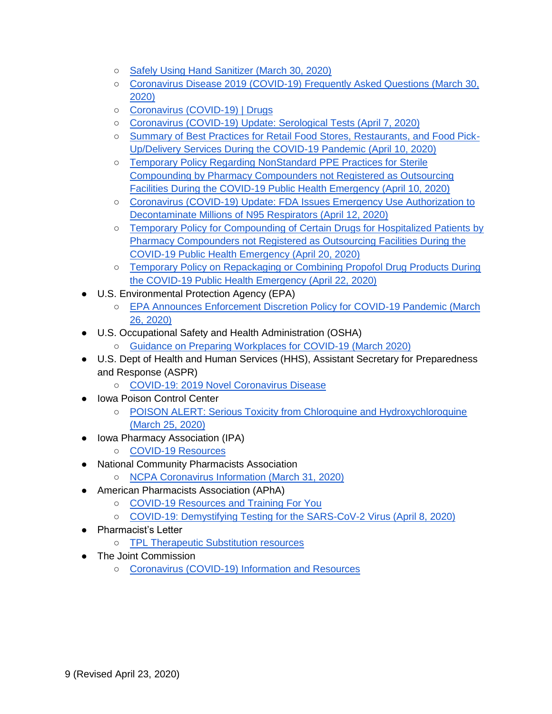- [Safely Using Hand Sanitizer \(March 30, 2020\)](https://www.fda.gov/consumers/consumer-updates/safely-using-hand-sanitizer)
- o Coronavirus Disease 2019 (COVID-19) Frequently Asked Questions (March 30, [2020\)](https://www.fda.gov/emergency-preparedness-and-response/coronavirus-disease-2019-covid-19/coronavirus-disease-2019-covid-19-frequently-asked-questions?fbclid=IwAR1zi23xCurVU-aLVXxNihhMpc13X9MXV0ZbyeTbPq3_mPG7zXawNjsbEL4)
- [Coronavirus \(COVID-19\) | Drugs](https://www.fda.gov/drugs/emergency-preparedness-drugs/coronavirus-covid-19-drugs?utm_campaign=Update%20to%20CDER%20COVID-19%20Webpages&utm_medium=email&utm_source=Eloqua)
- [Coronavirus \(COVID-19\) Update: Serological Tests \(April 7,](https://www.fda.gov/news-events/press-announcements/coronavirus-covid-19-update-serological-tests?utm_campaign=040720_PR_Coronavirus%20%28COVID-19%29%20Update%3A%20Serological%20Tests&utm_medium=email&utm_source=Eloqua) 2020)
- [Summary of Best Practices for Retail Food Stores, Restaurants, and Food Pick-](https://www.fda.gov/media/136812/download)[Up/Delivery Services During the COVID-19 Pandemic \(April 10, 2020\)](https://www.fda.gov/media/136812/download)
- [Temporary Policy Regarding NonStandard PPE Practices for Sterile](https://www.fda.gov/media/136841/download)  [Compounding by Pharmacy Compounders not Registered as Outsourcing](https://www.fda.gov/media/136841/download)  [Facilities During the COVID-19 Public Health Emergency \(April 10, 2020\)](https://www.fda.gov/media/136841/download)
- Coronavirus (COVID-19) Update: FDA Issues Emergency Use Authorization to [Decontaminate Millions of N95 Respirators \(April 12, 2020\)](https://www.fda.gov/news-events/press-announcements/coronavirus-covid-19-update-fda-issues-emergency-use-authorization-decontaminate-millions-n95?utm_campaign=041220_PR_Coronavirus%20%28COVID-19%29%20Update%3A%20FDA%20Issues%20EUA%20To%20Decontaminate%20Millions%20of%20N95%20Respirators&utm_medium=email&utm_source=Eloqua)
- o Temporary Policy for Compounding of Certain Drugs for Hospitalized Patients by [Pharmacy Compounders not Registered as Outsourcing Facilities During the](https://www.fda.gov/media/137125/download)  [COVID-19 Public Health Emergency \(April 20, 2020\)](https://www.fda.gov/media/137125/download)
- Temporary Policy on Repackaging or Combining Propofol Drug Products During [the COVID-19 Public Health Emergency \(April 22, 2020\)](https://www.fda.gov/media/137224/download)
- <span id="page-8-0"></span>● U.S. Environmental Protection Agency (EPA)
	- [EPA Announces Enforcement Discretion Policy for COVID-19 Pandemic \(March](https://www.epa.gov/newsreleases/epa-announces-enforcement-discretion-policy-covid-19-pandemic)  [26, 2020\)](https://www.epa.gov/newsreleases/epa-announces-enforcement-discretion-policy-covid-19-pandemic)
- <span id="page-8-1"></span>● U.S. Occupational Safety and Health Administration (OSHA)
	- [Guidance on Preparing Workplaces for COVID-19 \(March 2020\)](https://www.osha.gov/Publications/OSHA3990.pdf)
- <span id="page-8-2"></span>● U.S. Dept of Health and Human Services (HHS), Assistant Secretary for Preparedness and Response (ASPR)
	- [COVID-19: 2019 Novel Coronavirus Disease](https://www.phe.gov/emergency/events/COVID19/Pages/default.aspx)
- <span id="page-8-3"></span>**Iowa Poison Control Center** 
	- POISON ALERT: Serious Toxicity from Chloroquine and Hydroxychloroquine [\(March 25, 2020\)](https://idph.iowa.gov/Portals/1/userfiles/7/Poison%20Alert%202020-03-25.pdf)
- <span id="page-8-4"></span>● Iowa Pharmacy Association (IPA)
	- [COVID-19 Resources](https://www.iarx.org/covid19)
- <span id="page-8-5"></span>**National Community Pharmacists Association** 
	- [NCPA Coronavirus Information \(March 31, 2020\)](https://ncpa.org/coronavirus-information)
- <span id="page-8-6"></span>● American Pharmacists Association (APhA)
	- [COVID-19 Resources and Training For You](https://www.pharmacist.com/coronavirus/resources-training)
	- [COVID-19: Demystifying Testing for the SARS-CoV-2 Virus \(April 8, 2020\)](https://www.pharmacist.com/sites/default/files/audience/APhACOVID-19DemystifyingTesting0420_web.pdf)
- <span id="page-8-7"></span>● Pharmacist's Letter
	- o [TPL Therapeutic Substitution resources](https://pharmacist.therapeuticresearch.com/Search/Results?search=therapeutic+substitution&templateFilters=&segmentFilters=&dateRange=%7bCF110094-5154-4F50-881C-DDCD34E0BC04%7d&startDate=&endDate=&sortAscending=&page=1&selectedAll=)
- <span id="page-8-8"></span>● The Joint Commission
	- [Coronavirus \(COVID-19\) Information and Resources](https://www.jointcommission.org/covid-19/?mkt_tok=eyJpIjoiWkRVelltVmhNamN4T0dKbSIsInQiOiJkTXRvdkkzVlZseVwvUFlic1haNE1yeG5BT2VSTWhqd3B5NHVSVFdQMHhGaTFsWEhHblYxNTVMQVBVZUNPVkRDa1dwWlZrMWRsTW40NTUxdmFLekJHOTBoQzlaSUIrbm85XC9xTEgybEFrRkRpNHdNNEVSbnhRSXJhSitHT3Z1QXBRIn0%3D)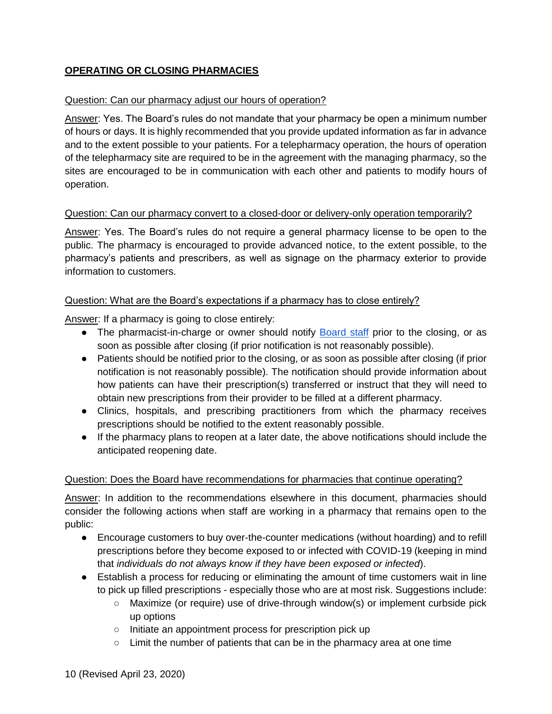## <span id="page-9-0"></span>**OPERATING OR CLOSING PHARMACIES**

#### <span id="page-9-1"></span>Question: Can our pharmacy adjust our hours of operation?

Answer: Yes. The Board's rules do not mandate that your pharmacy be open a minimum number of hours or days. It is highly recommended that you provide updated information as far in advance and to the extent possible to your patients. For a telepharmacy operation, the hours of operation of the telepharmacy site are required to be in the agreement with the managing pharmacy, so the sites are encouraged to be in communication with each other and patients to modify hours of operation.

#### <span id="page-9-2"></span>Question: Can our pharmacy convert to a closed-door or delivery-only operation temporarily?

Answer: Yes. The Board's rules do not require a general pharmacy license to be open to the public. The pharmacy is encouraged to provide advanced notice, to the extent possible, to the pharmacy's patients and prescribers, as well as signage on the pharmacy exterior to provide information to customers.

#### <span id="page-9-3"></span>Question: What are the Board's expectations if a pharmacy has to close entirely?

Answer: If a pharmacy is going to close entirely:

- The pharmacist-in-charge or owner should notify [Board staff](https://pharmacy.iowa.gov/contact-us) prior to the closing, or as soon as possible after closing (if prior notification is not reasonably possible).
- Patients should be notified prior to the closing, or as soon as possible after closing (if prior notification is not reasonably possible). The notification should provide information about how patients can have their prescription(s) transferred or instruct that they will need to obtain new prescriptions from their provider to be filled at a different pharmacy.
- Clinics, hospitals, and prescribing practitioners from which the pharmacy receives prescriptions should be notified to the extent reasonably possible.
- If the pharmacy plans to reopen at a later date, the above notifications should include the anticipated reopening date.

#### <span id="page-9-4"></span>Question: Does the Board have recommendations for pharmacies that continue operating?

Answer: In addition to the recommendations elsewhere in this document, pharmacies should consider the following actions when staff are working in a pharmacy that remains open to the public:

- Encourage customers to buy over-the-counter medications (without hoarding) and to refill prescriptions before they become exposed to or infected with COVID-19 (keeping in mind that *individuals do not always know if they have been exposed or infected*).
- Establish a process for reducing or eliminating the amount of time customers wait in line to pick up filled prescriptions - especially those who are at most risk. Suggestions include:
	- Maximize (or require) use of drive-through window(s) or implement curbside pick up options
	- Initiate an appointment process for prescription pick up
	- $\circ$  Limit the number of patients that can be in the pharmacy area at one time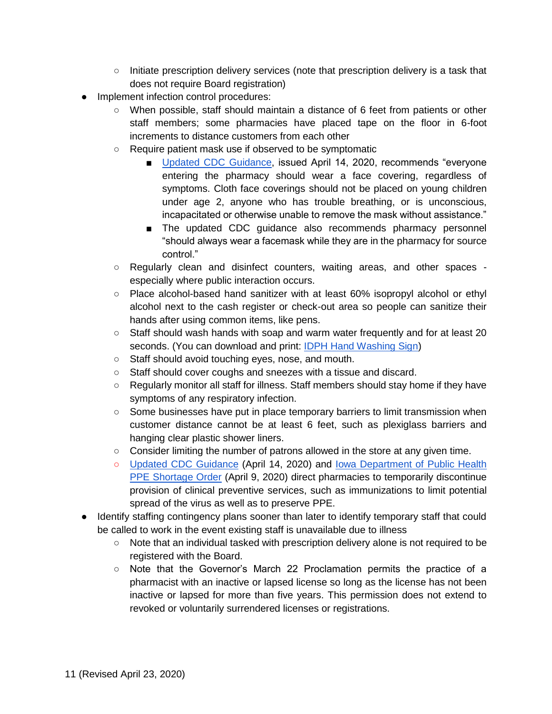- Initiate prescription delivery services (note that prescription delivery is a task that does not require Board registration)
- Implement infection control procedures:
	- When possible, staff should maintain a distance of 6 feet from patients or other staff members; some pharmacies have placed tape on the floor in 6-foot increments to distance customers from each other
	- Require patient mask use if observed to be symptomatic
		- [Updated CDC Guidance,](https://www.cdc.gov/coronavirus/2019-ncov/hcp/pharmacies.html) issued April 14, 2020, recommends "everyone entering the pharmacy should wear a face covering, regardless of symptoms. Cloth face coverings should not be placed on young children under age 2, anyone who has trouble breathing, or is unconscious, incapacitated or otherwise unable to remove the mask without assistance."
		- The updated CDC guidance also recommends pharmacy personnel "should always wear a facemask while they are in the pharmacy for source control."
	- Regularly clean and disinfect counters, waiting areas, and other spaces especially where public interaction occurs.
	- Place alcohol-based hand sanitizer with at least 60% isopropyl alcohol or ethyl alcohol next to the cash register or check-out area so people can sanitize their hands after using common items, like pens.
	- Staff should wash hands with soap and warm water frequently and for at least 20 seconds. (You can download and print: [IDPH Hand Washing Sign\)](https://idph.iowa.gov/Portals/1/userfiles/128/handwashing%20poster%202017.pdf)
	- Staff should avoid touching eyes, nose, and mouth.
	- Staff should cover coughs and sneezes with a tissue and discard.
	- Regularly monitor all staff for illness. Staff members should stay home if they have symptoms of any respiratory infection.
	- Some businesses have put in place temporary barriers to limit transmission when customer distance cannot be at least 6 feet, such as plexiglass barriers and hanging clear plastic shower liners.
	- Consider limiting the number of patrons allowed in the store at any given time.
	- [Updated CDC Guidance](https://www.cdc.gov/coronavirus/2019-ncov/hcp/pharmacies.html) (April 14, 2020) and [Iowa Department of Public Health](https://idph.iowa.gov/Portals/1/userfiles/7/Signed%20PPE%20Shortage%20Order%20Final.pdf)  [PPE Shortage Order](https://idph.iowa.gov/Portals/1/userfiles/7/Signed%20PPE%20Shortage%20Order%20Final.pdf) (April 9, 2020) direct pharmacies to temporarily discontinue provision of clinical preventive services, such as immunizations to limit potential spread of the virus as well as to preserve PPE.
- Identify staffing contingency plans sooner than later to identify temporary staff that could be called to work in the event existing staff is unavailable due to illness
	- Note that an individual tasked with prescription delivery alone is not required to be registered with the Board.
	- Note that the Governor's March 22 Proclamation permits the practice of a pharmacist with an inactive or lapsed license so long as the license has not been inactive or lapsed for more than five years. This permission does not extend to revoked or voluntarily surrendered licenses or registrations.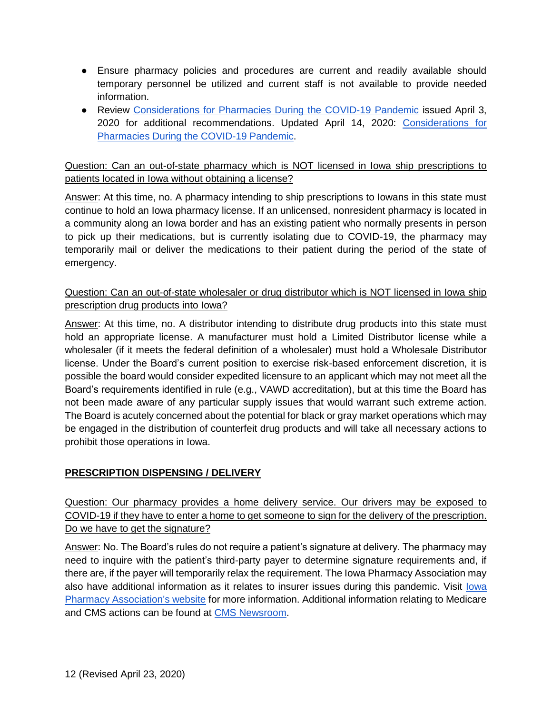- Ensure pharmacy policies and procedures are current and readily available should temporary personnel be utilized and current staff is not available to provide needed information.
- Review [Considerations for Pharmacies During the COVID-19 Pandemic](https://www.cdc.gov/coronavirus/2019-ncov/healthcare-resources/pharmacies.html) issued April 3, 2020 for additional recommendations. Updated April 14, 2020: [Considerations for](https://www.cdc.gov/coronavirus/2019-ncov/hcp/pharmacies.html)  [Pharmacies During the COVID-19 Pandemic.](https://www.cdc.gov/coronavirus/2019-ncov/hcp/pharmacies.html)

<span id="page-11-0"></span>Question: Can an out-of-state pharmacy which is NOT licensed in Iowa ship prescriptions to patients located in Iowa without obtaining a license?

Answer: At this time, no. A pharmacy intending to ship prescriptions to Iowans in this state must continue to hold an Iowa pharmacy license. If an unlicensed, nonresident pharmacy is located in a community along an Iowa border and has an existing patient who normally presents in person to pick up their medications, but is currently isolating due to COVID-19, the pharmacy may temporarily mail or deliver the medications to their patient during the period of the state of emergency.

## <span id="page-11-1"></span>Question: Can an out-of-state wholesaler or drug distributor which is NOT licensed in Iowa ship prescription drug products into Iowa?

Answer: At this time, no. A distributor intending to distribute drug products into this state must hold an appropriate license. A manufacturer must hold a Limited Distributor license while a wholesaler (if it meets the federal definition of a wholesaler) must hold a Wholesale Distributor license. Under the Board's current position to exercise risk-based enforcement discretion, it is possible the board would consider expedited licensure to an applicant which may not meet all the Board's requirements identified in rule (e.g., VAWD accreditation), but at this time the Board has not been made aware of any particular supply issues that would warrant such extreme action. The Board is acutely concerned about the potential for black or gray market operations which may be engaged in the distribution of counterfeit drug products and will take all necessary actions to prohibit those operations in Iowa.

# <span id="page-11-2"></span>**PRESCRIPTION DISPENSING / DELIVERY**

<span id="page-11-3"></span>Question: Our pharmacy provides a home delivery service. Our drivers may be exposed to COVID-19 if they have to enter a home to get someone to sign for the delivery of the prescription. Do we have to get the signature?

Answer: No. The Board's rules do not require a patient's signature at delivery. The pharmacy may need to inquire with the patient's third-party payer to determine signature requirements and, if there are, if the payer will temporarily relax the requirement. The Iowa Pharmacy Association may also have additional information as it relates to insurer issues during this pandemic. Visit lowa [Pharmacy Association's website](https://www.iarx.org/) for more information. Additional information relating to Medicare and CMS actions can be found at [CMS Newsroom.](https://www.cms.gov/newsroom)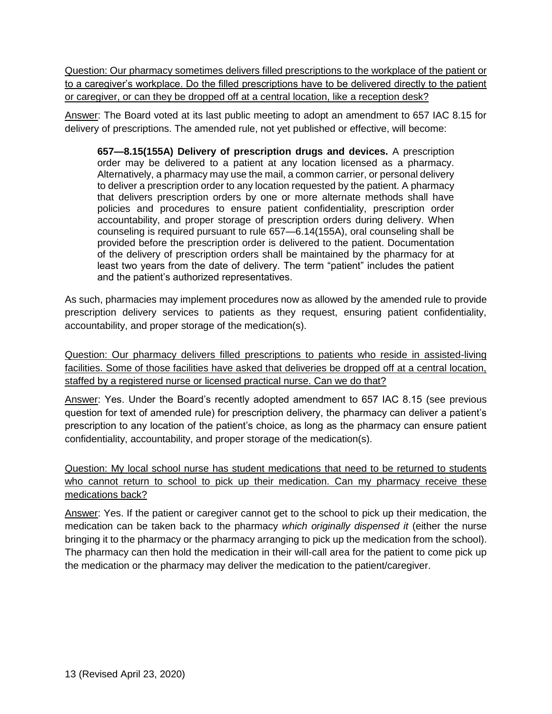<span id="page-12-0"></span>Question: Our pharmacy sometimes delivers filled prescriptions to the workplace of the patient or to a caregiver's workplace. Do the filled prescriptions have to be delivered directly to the patient or caregiver, or can they be dropped off at a central location, like a reception desk?

Answer: The Board voted at its last public meeting to adopt an amendment to 657 IAC 8.15 for delivery of prescriptions. The amended rule, not yet published or effective, will become:

**657—8.15(155A) Delivery of prescription drugs and devices.** A prescription order may be delivered to a patient at any location licensed as a pharmacy. Alternatively, a pharmacy may use the mail, a common carrier, or personal delivery to deliver a prescription order to any location requested by the patient. A pharmacy that delivers prescription orders by one or more alternate methods shall have policies and procedures to ensure patient confidentiality, prescription order accountability, and proper storage of prescription orders during delivery. When counseling is required pursuant to rule [657—6.14\(](https://www.legis.iowa.gov/docs/iac/rule/657.6.14.pdf)155A), oral counseling shall be provided before the prescription order is delivered to the patient. Documentation of the delivery of prescription orders shall be maintained by the pharmacy for at least two years from the date of delivery. The term "patient" includes the patient and the patient's authorized representatives.

As such, pharmacies may implement procedures now as allowed by the amended rule to provide prescription delivery services to patients as they request, ensuring patient confidentiality, accountability, and proper storage of the medication(s).

<span id="page-12-1"></span>Question: Our pharmacy delivers filled prescriptions to patients who reside in assisted-living facilities. Some of those facilities have asked that deliveries be dropped off at a central location, staffed by a registered nurse or licensed practical nurse. Can we do that?

Answer: Yes. Under the Board's recently adopted amendment to 657 IAC 8.15 (see previous question for text of amended rule) for prescription delivery, the pharmacy can deliver a patient's prescription to any location of the patient's choice, as long as the pharmacy can ensure patient confidentiality, accountability, and proper storage of the medication(s).

<span id="page-12-2"></span>Question: My local school nurse has student medications that need to be returned to students who cannot return to school to pick up their medication. Can my pharmacy receive these medications back?

Answer: Yes. If the patient or caregiver cannot get to the school to pick up their medication, the medication can be taken back to the pharmacy *which originally dispensed it* (either the nurse bringing it to the pharmacy or the pharmacy arranging to pick up the medication from the school). The pharmacy can then hold the medication in their will-call area for the patient to come pick up the medication or the pharmacy may deliver the medication to the patient/caregiver.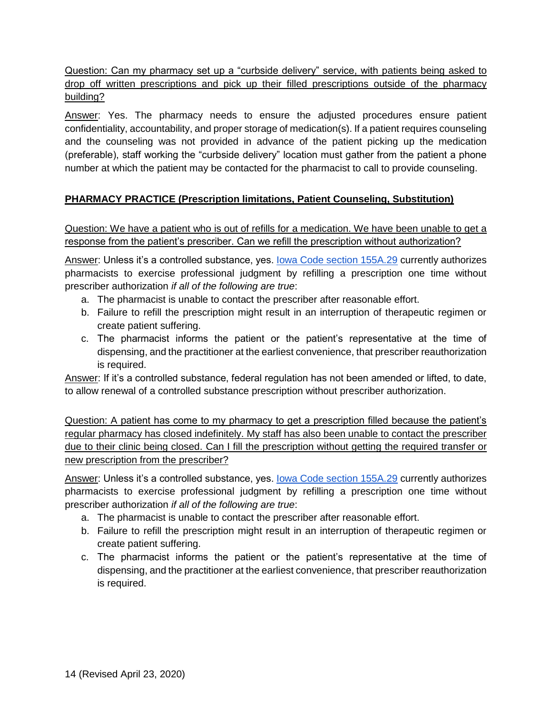<span id="page-13-0"></span>Question: Can my pharmacy set up a "curbside delivery" service, with patients being asked to drop off written prescriptions and pick up their filled prescriptions outside of the pharmacy building?

Answer: Yes. The pharmacy needs to ensure the adjusted procedures ensure patient confidentiality, accountability, and proper storage of medication(s). If a patient requires counseling and the counseling was not provided in advance of the patient picking up the medication (preferable), staff working the "curbside delivery" location must gather from the patient a phone number at which the patient may be contacted for the pharmacist to call to provide counseling.

# <span id="page-13-1"></span>**PHARMACY PRACTICE (Prescription limitations, Patient Counseling, Substitution)**

<span id="page-13-2"></span>Question: We have a patient who is out of refills for a medication. We have been unable to get a response from the patient's prescriber. Can we refill the prescription without authorization?

Answer: Unless it's a controlled substance, yes. lowa Code section 155A.29 currently authorizes pharmacists to exercise professional judgment by refilling a prescription one time without prescriber authorization *if all of the following are true*:

- a. The pharmacist is unable to contact the prescriber after reasonable effort.
- b. Failure to refill the prescription might result in an interruption of therapeutic regimen or create patient suffering.
- c. The pharmacist informs the patient or the patient's representative at the time of dispensing, and the practitioner at the earliest convenience, that prescriber reauthorization is required.

Answer: If it's a controlled substance, federal regulation has not been amended or lifted, to date, to allow renewal of a controlled substance prescription without prescriber authorization.

<span id="page-13-3"></span>Question: A patient has come to my pharmacy to get a prescription filled because the patient's regular pharmacy has closed indefinitely. My staff has also been unable to contact the prescriber due to their clinic being closed. Can I fill the prescription without getting the required transfer or new prescription from the prescriber?

Answer: Unless it's a controlled substance, yes. lowa Code section 155A.29 currently authorizes pharmacists to exercise professional judgment by refilling a prescription one time without prescriber authorization *if all of the following are true*:

- a. The pharmacist is unable to contact the prescriber after reasonable effort.
- b. Failure to refill the prescription might result in an interruption of therapeutic regimen or create patient suffering.
- c. The pharmacist informs the patient or the patient's representative at the time of dispensing, and the practitioner at the earliest convenience, that prescriber reauthorization is required.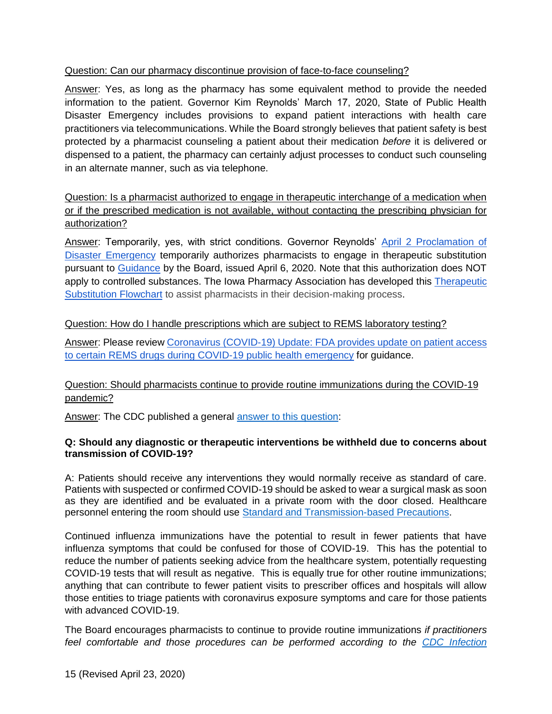#### <span id="page-14-0"></span>Question: Can our pharmacy discontinue provision of face-to-face counseling?

Answer: Yes, as long as the pharmacy has some equivalent method to provide the needed information to the patient. Governor Kim Reynolds' March 17, 2020, State of Public Health Disaster Emergency includes provisions to expand patient interactions with health care practitioners via telecommunications. While the Board strongly believes that patient safety is best protected by a pharmacist counseling a patient about their medication *before* it is delivered or dispensed to a patient, the pharmacy can certainly adjust processes to conduct such counseling in an alternate manner, such as via telephone.

<span id="page-14-1"></span>Question: Is a pharmacist authorized to engage in therapeutic interchange of a medication when or if the prescribed medication is not available, without contacting the prescribing physician for authorization?

Answer: Temporarily, yes, with strict conditions. Governor Reynolds' [April 2 Proclamation of](https://governor.iowa.gov/sites/default/files/documents/Public%20Health%20Disaster%20Proclamation%20-%202020.04.02.pdf)  [Disaster Emergency](https://governor.iowa.gov/sites/default/files/documents/Public%20Health%20Disaster%20Proclamation%20-%202020.04.02.pdf) temporarily authorizes pharmacists to engage in therapeutic substitution pursuant to [Guidance](https://pharmacy.iowa.gov/sites/default/files/documents/2020/04/board_response_to_proclamation_final.pdf) by the Board, issued April 6, 2020. Note that this authorization does NOT apply to controlled substances. The Iowa Pharmacy Association has developed this Therapeutic [Substitution Flowchart](https://documentcloud.adobe.com/link/track/?uri=urn%3Aaaid%3Ascds%3AUS%3A5a38f7c2-9e11-43ac-977f-3284e310bb74&pageNum=1) to assist pharmacists in their decision-making process.

#### <span id="page-14-2"></span>Question: How do I handle prescriptions which are subject to REMS laboratory testing?

Answer: Please review [Coronavirus \(COVID-19\) Update: FDA provides update on patient access](https://www.fda.gov/news-events/press-announcements/coronavirus-covid-19-update-fda-provides-update-patient-access-certain-rems-drugs-during-covid-19?utm_campaign=032220_PR_FDA%20provides%20update%20on%20patient%20access%20to%20certain%20REMS%20drugs%20during%20COVID-19&utm_medium=email&utm_source=Eloqua)  [to certain REMS drugs during COVID-19 public health emergency](https://www.fda.gov/news-events/press-announcements/coronavirus-covid-19-update-fda-provides-update-patient-access-certain-rems-drugs-during-covid-19?utm_campaign=032220_PR_FDA%20provides%20update%20on%20patient%20access%20to%20certain%20REMS%20drugs%20during%20COVID-19&utm_medium=email&utm_source=Eloqua) for guidance.

#### <span id="page-14-3"></span>Question: Should pharmacists continue to provide routine immunizations during the COVID-19 pandemic?

Answer: The CDC published a general [answer to this question:](https://www.cdc.gov/coronavirus/2019-ncov/hcp/faq.html)

#### **Q: Should any diagnostic or therapeutic interventions be withheld due to concerns about transmission of COVID-19?**

A: Patients should receive any interventions they would normally receive as standard of care. Patients with suspected or confirmed COVID-19 should be asked to wear a surgical mask as soon as they are identified and be evaluated in a private room with the door closed. Healthcare personnel entering the room should use [Standard and Transmission-based Precautions.](https://www.cdc.gov/coronavirus/2019-ncov/infection-control/control-recommendations.html)

Continued influenza immunizations have the potential to result in fewer patients that have influenza symptoms that could be confused for those of COVID-19. This has the potential to reduce the number of patients seeking advice from the healthcare system, potentially requesting COVID-19 tests that will result as negative. This is equally true for other routine immunizations; anything that can contribute to fewer patient visits to prescriber offices and hospitals will allow those entities to triage patients with coronavirus exposure symptoms and care for those patients with advanced COVID-19.

The Board encourages pharmacists to continue to provide routine immunizations *if practitioners feel comfortable and those procedures can be performed according to the [CDC Infection](https://www.cdc.gov/coronavirus/2019-ncov/infection-control/control-recommendations.html)*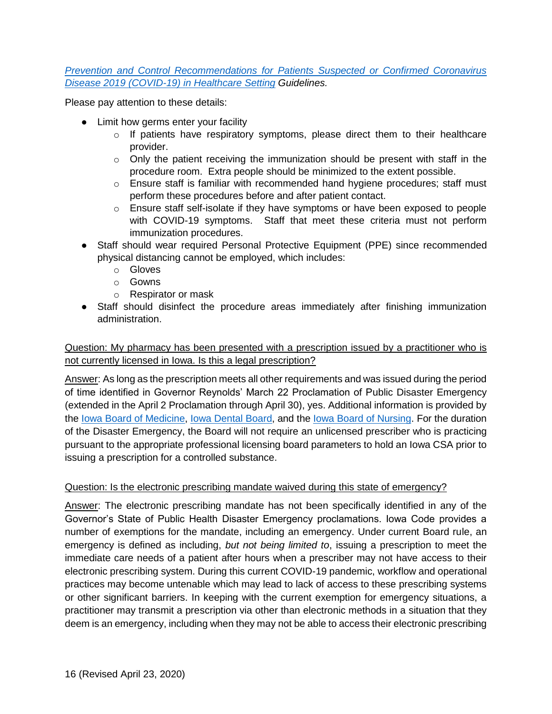#### *[Prevention and Control Recommendations for Patients Suspected or Confirmed Coronavirus](https://www.cdc.gov/coronavirus/2019-ncov/infection-control/control-recommendations.html)  [Disease 2019 \(COVID-19\) in Healthcare Setting](https://www.cdc.gov/coronavirus/2019-ncov/infection-control/control-recommendations.html) Guidelines.*

Please pay attention to these details:

- Limit how germs enter your facility
	- $\circ$  If patients have respiratory symptoms, please direct them to their healthcare provider.
	- o Only the patient receiving the immunization should be present with staff in the procedure room. Extra people should be minimized to the extent possible.
	- o Ensure staff is familiar with recommended hand hygiene procedures; staff must perform these procedures before and after patient contact.
	- o Ensure staff self-isolate if they have symptoms or have been exposed to people with COVID-19 symptoms. Staff that meet these criteria must not perform immunization procedures.
- Staff should wear required Personal Protective Equipment (PPE) since recommended physical distancing cannot be employed, which includes:
	- o Gloves
	- o Gowns
	- o Respirator or mask
- Staff should disinfect the procedure areas immediately after finishing immunization administration.

#### <span id="page-15-0"></span>Question: My pharmacy has been presented with a prescription issued by a practitioner who is not currently licensed in Iowa. Is this a legal prescription?

Answer: As long as the prescription meets all other requirements and was issued during the period of time identified in Governor Reynolds' March 22 Proclamation of Public Disaster Emergency (extended in the April 2 Proclamation through April 30), yes. Additional information is provided by the [Iowa Board of Medicine,](https://medicalboard.iowa.gov/) [Iowa Dental Board,](https://dentalboard.iowa.gov/covid-19-general-information) and the [Iowa Board of Nursing.](https://nursing.iowa.gov/coronavirus-covid-19-information) For the duration of the Disaster Emergency, the Board will not require an unlicensed prescriber who is practicing pursuant to the appropriate professional licensing board parameters to hold an Iowa CSA prior to issuing a prescription for a controlled substance.

#### <span id="page-15-1"></span>Question: Is the electronic prescribing mandate waived during this state of emergency?

Answer: The electronic prescribing mandate has not been specifically identified in any of the Governor's State of Public Health Disaster Emergency proclamations. Iowa Code provides a number of exemptions for the mandate, including an emergency. Under current Board rule, an emergency is defined as including, *but not being limited to*, issuing a prescription to meet the immediate care needs of a patient after hours when a prescriber may not have access to their electronic prescribing system. During this current COVID-19 pandemic, workflow and operational practices may become untenable which may lead to lack of access to these prescribing systems or other significant barriers. In keeping with the current exemption for emergency situations, a practitioner may transmit a prescription via other than electronic methods in a situation that they deem is an emergency, including when they may not be able to access their electronic prescribing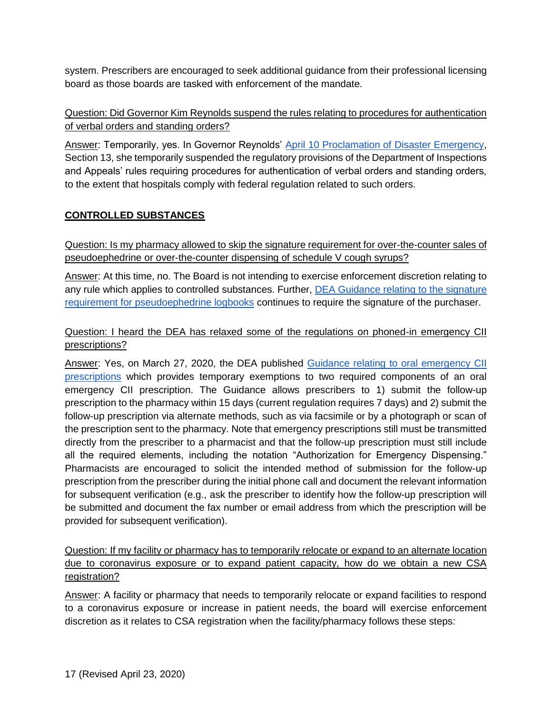system. Prescribers are encouraged to seek additional guidance from their professional licensing board as those boards are tasked with enforcement of the mandate.

# <span id="page-16-0"></span>Question: Did Governor Kim Reynolds suspend the rules relating to procedures for authentication of verbal orders and standing orders?

Answer: Temporarily, yes. In Governor Reynolds' [April 10 Proclamation of Disaster Emergency,](https://governor.iowa.gov/sites/default/files/documents/Public%20Health%20Proclamation%20-%202020.04.10%20%282%29.pdf) Section 13, she temporarily suspended the regulatory provisions of the Department of Inspections and Appeals' rules requiring procedures for authentication of verbal orders and standing orders, to the extent that hospitals comply with federal regulation related to such orders.

# <span id="page-16-1"></span>**CONTROLLED SUBSTANCES**

<span id="page-16-2"></span>Question: Is my pharmacy allowed to skip the signature requirement for over-the-counter sales of pseudoephedrine or over-the-counter dispensing of schedule V cough syrups?

Answer: At this time, no. The Board is not intending to exercise enforcement discretion relating to any rule which applies to controlled substances. Further, **DEA Guidance relating to the signature** [requirement for pseudoephedrine logbooks](https://www.deadiversion.usdoj.gov/faq/coronavirus_faq.htm#PSEUDO) continues to require the signature of the purchaser.

#### <span id="page-16-3"></span>Question: I heard the DEA has relaxed some of the regulations on phoned-in emergency CII prescriptions?

Answer: Yes, on March 27, 2020, the DEA published [Guidance relating to oral emergency CII](https://www.deadiversion.usdoj.gov/GDP/(DEA-DC-021)(DEA073)%20Oral%20CII%20for%20regular%20CII%20scirpt%20(Final)%20+Esign%20a.pdf)  [prescriptions](https://www.deadiversion.usdoj.gov/GDP/(DEA-DC-021)(DEA073)%20Oral%20CII%20for%20regular%20CII%20scirpt%20(Final)%20+Esign%20a.pdf) which provides temporary exemptions to two required components of an oral emergency CII prescription. The Guidance allows prescribers to 1) submit the follow-up prescription to the pharmacy within 15 days (current regulation requires 7 days) and 2) submit the follow-up prescription via alternate methods, such as via facsimile or by a photograph or scan of the prescription sent to the pharmacy. Note that emergency prescriptions still must be transmitted directly from the prescriber to a pharmacist and that the follow-up prescription must still include all the required elements, including the notation "Authorization for Emergency Dispensing." Pharmacists are encouraged to solicit the intended method of submission for the follow-up prescription from the prescriber during the initial phone call and document the relevant information for subsequent verification (e.g., ask the prescriber to identify how the follow-up prescription will be submitted and document the fax number or email address from which the prescription will be provided for subsequent verification).

<span id="page-16-4"></span>Question: If my facility or pharmacy has to temporarily relocate or expand to an alternate location due to coronavirus exposure or to expand patient capacity, how do we obtain a new CSA registration?

Answer: A facility or pharmacy that needs to temporarily relocate or expand facilities to respond to a coronavirus exposure or increase in patient needs, the board will exercise enforcement discretion as it relates to CSA registration when the facility/pharmacy follows these steps: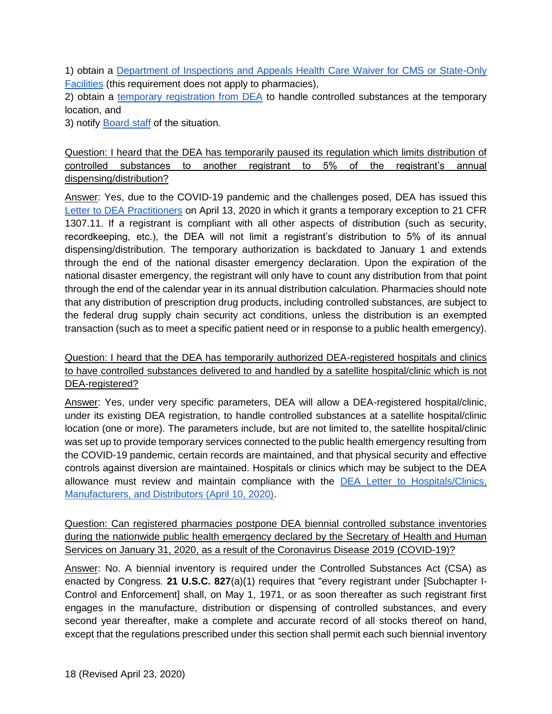1) obtain a [Department of Inspections and Appeals Health Care Waiver for CMS or State-Only](https://dia.iowa.gov/sites/default/files/documents/2020/03/dia-health-care-waivers-for-cms-or-state-only-facilities_2020-03-19.pdf)  [Facilities](https://dia.iowa.gov/sites/default/files/documents/2020/03/dia-health-care-waivers-for-cms-or-state-only-facilities_2020-03-19.pdf) (this requirement does not apply to pharmacies),

2) obtain a [temporary registration from DEA](https://www.deadiversion.usdoj.gov/coronavirus.html) to handle controlled substances at the temporary location, and

<span id="page-17-0"></span>3) notify **Board staff** of the situation.

Question: I heard that the DEA has temporarily paused its regulation which limits distribution of controlled substances to another registrant to 5% of the registrant's annual dispensing/distribution?

Answer: Yes, due to the COVID-19 pandemic and the challenges posed, DEA has issued this [Letter to DEA Practitioners](https://www.deadiversion.usdoj.gov/GDP/(DEA-DC-029)(DEA085)_DEA_5_percent_practitioner_exception_(final).pdf) on April 13, 2020 in which it grants a temporary exception to 21 CFR 1307.11. If a registrant is compliant with all other aspects of distribution (such as security, recordkeeping, etc.), the DEA will not limit a registrant's distribution to 5% of its annual dispensing/distribution. The temporary authorization is backdated to January 1 and extends through the end of the national disaster emergency declaration. Upon the expiration of the national disaster emergency, the registrant will only have to count any distribution from that point through the end of the calendar year in its annual distribution calculation. Pharmacies should note that any distribution of prescription drug products, including controlled substances, are subject to the federal drug supply chain security act conditions, unless the distribution is an exempted transaction (such as to meet a specific patient need or in response to a public health emergency).

<span id="page-17-1"></span>Question: I heard that the DEA has temporarily authorized DEA-registered hospitals and clinics to have controlled substances delivered to and handled by a satellite hospital/clinic which is not DEA-registered?

Answer: Yes, under very specific parameters, DEA will allow a DEA-registered hospital/clinic, under its existing DEA registration, to handle controlled substances at a satellite hospital/clinic location (one or more). The parameters include, but are not limited to, the satellite hospital/clinic was set up to provide temporary services connected to the public health emergency resulting from the COVID-19 pandemic, certain records are maintained, and that physical security and effective controls against diversion are maintained. Hospitals or clinics which may be subject to the DEA allowance must review and maintain compliance with the [DEA Letter to Hospitals/Clinics,](https://www.ashp.org/-/media/assets/advocacy-issues/docs/GRD-Hospital-Clinic-Registration-Exception.ashx?la=en&hash=E0272AD8AF1CAEE4A367D83F2610347E537ADE4E)  [Manufacturers, and Distributors \(April 10, 2020\).](https://www.ashp.org/-/media/assets/advocacy-issues/docs/GRD-Hospital-Clinic-Registration-Exception.ashx?la=en&hash=E0272AD8AF1CAEE4A367D83F2610347E537ADE4E)

<span id="page-17-2"></span>Question: Can registered pharmacies postpone DEA biennial controlled substance inventories during the nationwide public health emergency declared by the Secretary of Health and Human Services on January 31, 2020, as a result of the Coronavirus Disease 2019 (COVID-19)?

Answer: No. A biennial inventory is required under the Controlled Substances Act (CSA) as enacted by Congress. **[21 U.S.C. 827](https://www.deadiversion.usdoj.gov/21cfr/21usc/827.htm)**(a)(1) requires that "every registrant under [Subchapter I-Control and Enforcement] shall, on May 1, 1971, or as soon thereafter as such registrant first engages in the manufacture, distribution or dispensing of controlled substances, and every second year thereafter, make a complete and accurate record of all stocks thereof on hand, except that the regulations prescribed under this section shall permit each such biennial inventory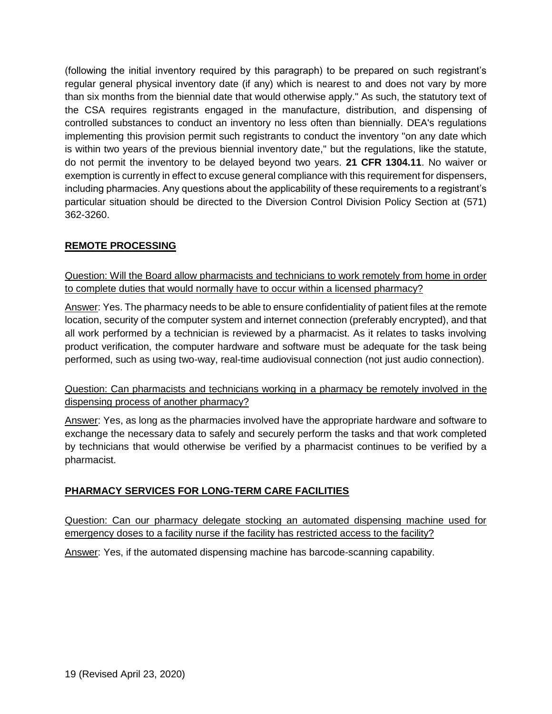(following the initial inventory required by this paragraph) to be prepared on such registrant's regular general physical inventory date (if any) which is nearest to and does not vary by more than six months from the biennial date that would otherwise apply." As such, the statutory text of the CSA requires registrants engaged in the manufacture, distribution, and dispensing of controlled substances to conduct an inventory no less often than biennially. DEA's regulations implementing this provision permit such registrants to conduct the inventory "on any date which is within two years of the previous biennial inventory date," but the regulations, like the statute, do not permit the inventory to be delayed beyond two years. **[21 CFR 1304.11](https://www.deadiversion.usdoj.gov/21cfr/cfr/1304/1304_11.htm)**. No waiver or exemption is currently in effect to excuse general compliance with this requirement for dispensers, including pharmacies. Any questions about the applicability of these requirements to a registrant's particular situation should be directed to the Diversion Control Division Policy Section at (571) 362-3260.

## <span id="page-18-0"></span>**REMOTE PROCESSING**

<span id="page-18-1"></span>Question: Will the Board allow pharmacists and technicians to work remotely from home in order to complete duties that would normally have to occur within a licensed pharmacy?

Answer: Yes. The pharmacy needs to be able to ensure confidentiality of patient files at the remote location, security of the computer system and internet connection (preferably encrypted), and that all work performed by a technician is reviewed by a pharmacist. As it relates to tasks involving product verification, the computer hardware and software must be adequate for the task being performed, such as using two-way, real-time audiovisual connection (not just audio connection).

<span id="page-18-2"></span>Question: Can pharmacists and technicians working in a pharmacy be remotely involved in the dispensing process of another pharmacy?

Answer: Yes, as long as the pharmacies involved have the appropriate hardware and software to exchange the necessary data to safely and securely perform the tasks and that work completed by technicians that would otherwise be verified by a pharmacist continues to be verified by a pharmacist.

# <span id="page-18-3"></span>**PHARMACY SERVICES FOR LONG-TERM CARE FACILITIES**

<span id="page-18-4"></span>Question: Can our pharmacy delegate stocking an automated dispensing machine used for emergency doses to a facility nurse if the facility has restricted access to the facility?

Answer: Yes, if the automated dispensing machine has barcode-scanning capability.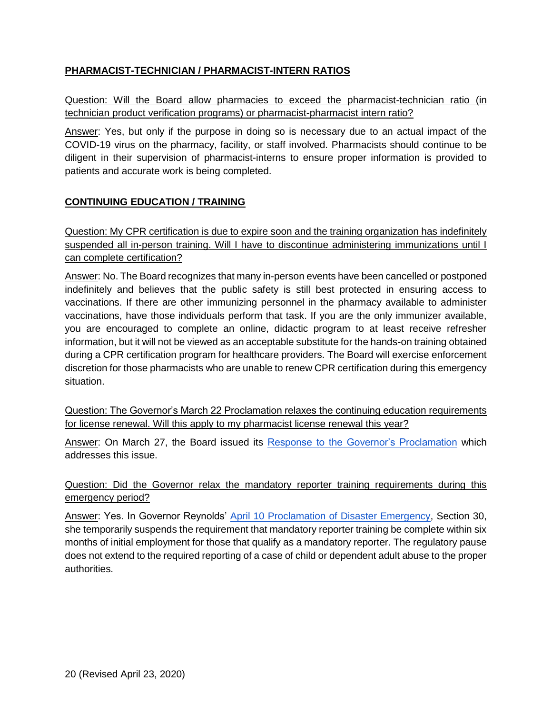#### <span id="page-19-0"></span>**PHARMACIST-TECHNICIAN / PHARMACIST-INTERN RATIOS**

<span id="page-19-1"></span>Question: Will the Board allow pharmacies to exceed the pharmacist-technician ratio (in technician product verification programs) or pharmacist-pharmacist intern ratio?

Answer: Yes, but only if the purpose in doing so is necessary due to an actual impact of the COVID-19 virus on the pharmacy, facility, or staff involved. Pharmacists should continue to be diligent in their supervision of pharmacist-interns to ensure proper information is provided to patients and accurate work is being completed.

#### <span id="page-19-2"></span>**CONTINUING EDUCATION / TRAINING**

<span id="page-19-3"></span>Question: My CPR certification is due to expire soon and the training organization has indefinitely suspended all in-person training. Will I have to discontinue administering immunizations until I can complete certification?

Answer: No. The Board recognizes that many in-person events have been cancelled or postponed indefinitely and believes that the public safety is still best protected in ensuring access to vaccinations. If there are other immunizing personnel in the pharmacy available to administer vaccinations, have those individuals perform that task. If you are the only immunizer available, you are encouraged to complete an online, didactic program to at least receive refresher information, but it will not be viewed as an acceptable substitute for the hands-on training obtained during a CPR certification program for healthcare providers. The Board will exercise enforcement discretion for those pharmacists who are unable to renew CPR certification during this emergency situation.

<span id="page-19-4"></span>Question: The Governor's March 22 Proclamation relaxes the continuing education requirements for license renewal. Will this apply to my pharmacist license renewal this year?

Answer: On March 27, the Board issued its [Response to the Governor's Proclamation](https://pharmacy.iowa.gov/press-release/2020-03-27/board-pharmacy-response-governors-proclamation) which addresses this issue.

#### <span id="page-19-5"></span>Question: Did the Governor relax the mandatory reporter training requirements during this emergency period?

Answer: Yes. In Governor Reynolds' [April 10 Proclamation of Disaster Emergency,](https://governor.iowa.gov/sites/default/files/documents/Public%20Health%20Proclamation%20-%202020.04.10%20%282%29.pdf) Section 30, she temporarily suspends the requirement that mandatory reporter training be complete within six months of initial employment for those that qualify as a mandatory reporter. The regulatory pause does not extend to the required reporting of a case of child or dependent adult abuse to the proper authorities.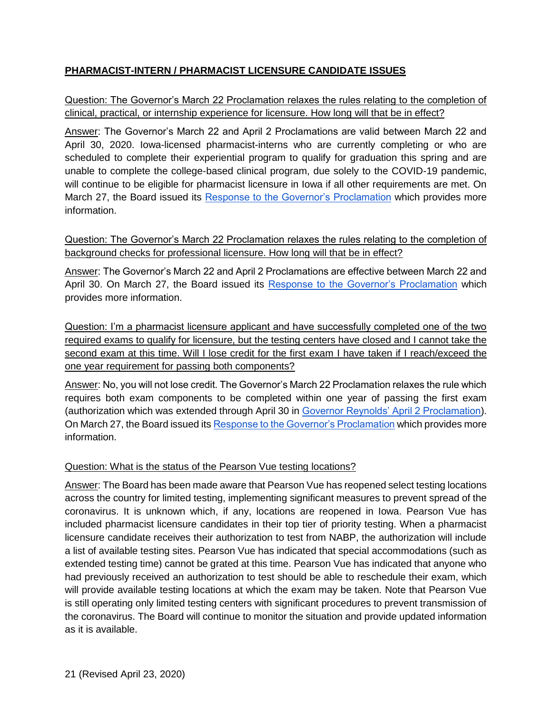# <span id="page-20-0"></span>**PHARMACIST-INTERN / PHARMACIST LICENSURE CANDIDATE ISSUES**

#### <span id="page-20-1"></span>Question: The Governor's March 22 Proclamation relaxes the rules relating to the completion of clinical, practical, or internship experience for licensure. How long will that be in effect?

Answer: The Governor's March 22 and April 2 Proclamations are valid between March 22 and April 30, 2020. Iowa-licensed pharmacist-interns who are currently completing or who are scheduled to complete their experiential program to qualify for graduation this spring and are unable to complete the college-based clinical program, due solely to the COVID-19 pandemic, will continue to be eligible for pharmacist licensure in Iowa if all other requirements are met. On March 27, the Board issued its [Response to the Governor's Proclamation](https://pharmacy.iowa.gov/press-release/2020-03-27/board-pharmacy-response-governors-proclamation) which provides more information.

#### <span id="page-20-2"></span>Question: The Governor's March 22 Proclamation relaxes the rules relating to the completion of background checks for professional licensure. How long will that be in effect?

Answer: The Governor's March 22 and April 2 Proclamations are effective between March 22 and April 30. On March 27, the Board issued its [Response to the Governor's Proclamation](https://pharmacy.iowa.gov/press-release/2020-03-27/board-pharmacy-response-governors-proclamation) which provides more information.

<span id="page-20-3"></span>Question: I'm a pharmacist licensure applicant and have successfully completed one of the two required exams to qualify for licensure, but the testing centers have closed and I cannot take the second exam at this time. Will I lose credit for the first exam I have taken if I reach/exceed the one year requirement for passing both components?

Answer: No, you will not lose credit. The Governor's March 22 Proclamation relaxes the rule which requires both exam components to be completed within one year of passing the first exam (authorization which was extended through April 30 in [Governor Reynolds' April 2 Proclamation\)](https://governor.iowa.gov/sites/default/files/documents/Public%20Health%20Disaster%20Proclamation%20-%202020.04.02.pdf). On March 27, the Board issued it[s Response to the Governor's Proclamation](https://pharmacy.iowa.gov/press-release/2020-03-27/board-pharmacy-response-governors-proclamation) which provides more information.

#### <span id="page-20-4"></span>Question: What is the status of the Pearson Vue testing locations?

Answer: The Board has been made aware that Pearson Vue has reopened select testing locations across the country for limited testing, implementing significant measures to prevent spread of the coronavirus. It is unknown which, if any, locations are reopened in Iowa. Pearson Vue has included pharmacist licensure candidates in their top tier of priority testing. When a pharmacist licensure candidate receives their authorization to test from NABP, the authorization will include a list of available testing sites. Pearson Vue has indicated that special accommodations (such as extended testing time) cannot be grated at this time. Pearson Vue has indicated that anyone who had previously received an authorization to test should be able to reschedule their exam, which will provide available testing locations at which the exam may be taken. Note that Pearson Vue is still operating only limited testing centers with significant procedures to prevent transmission of the coronavirus. The Board will continue to monitor the situation and provide updated information as it is available.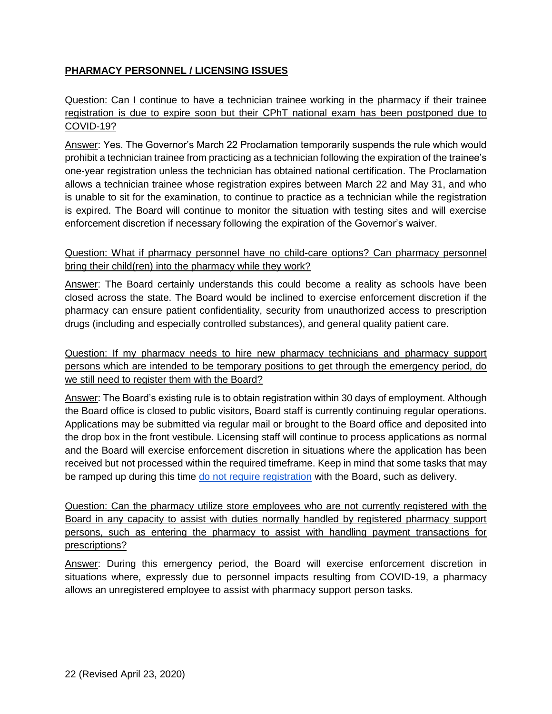## <span id="page-21-0"></span>**PHARMACY PERSONNEL / LICENSING ISSUES**

#### <span id="page-21-1"></span>Question: Can I continue to have a technician trainee working in the pharmacy if their trainee registration is due to expire soon but their CPhT national exam has been postponed due to COVID-19?

Answer: Yes. The Governor's March 22 Proclamation temporarily suspends the rule which would prohibit a technician trainee from practicing as a technician following the expiration of the trainee's one-year registration unless the technician has obtained national certification. The Proclamation allows a technician trainee whose registration expires between March 22 and May 31, and who is unable to sit for the examination, to continue to practice as a technician while the registration is expired. The Board will continue to monitor the situation with testing sites and will exercise enforcement discretion if necessary following the expiration of the Governor's waiver.

#### <span id="page-21-2"></span>Question: What if pharmacy personnel have no child-care options? Can pharmacy personnel bring their child(ren) into the pharmacy while they work?

Answer: The Board certainly understands this could become a reality as schools have been closed across the state. The Board would be inclined to exercise enforcement discretion if the pharmacy can ensure patient confidentiality, security from unauthorized access to prescription drugs (including and especially controlled substances), and general quality patient care.

<span id="page-21-3"></span>Question: If my pharmacy needs to hire new pharmacy technicians and pharmacy support persons which are intended to be temporary positions to get through the emergency period, do we still need to register them with the Board?

Answer: The Board's existing rule is to obtain registration within 30 days of employment. Although the Board office is closed to public visitors, Board staff is currently continuing regular operations. Applications may be submitted via regular mail or brought to the Board office and deposited into the drop box in the front vestibule. Licensing staff will continue to process applications as normal and the Board will exercise enforcement discretion in situations where the application has been received but not processed within the required timeframe. Keep in mind that some tasks that may be ramped up during this time [do not require registration](https://www.legis.iowa.gov/docs/iac/rule/04-07-2010.657.5.5.pdf) with the Board, such as delivery.

<span id="page-21-4"></span>Question: Can the pharmacy utilize store employees who are not currently registered with the Board in any capacity to assist with duties normally handled by registered pharmacy support persons, such as entering the pharmacy to assist with handling payment transactions for prescriptions?

Answer: During this emergency period, the Board will exercise enforcement discretion in situations where, expressly due to personnel impacts resulting from COVID-19, a pharmacy allows an unregistered employee to assist with pharmacy support person tasks.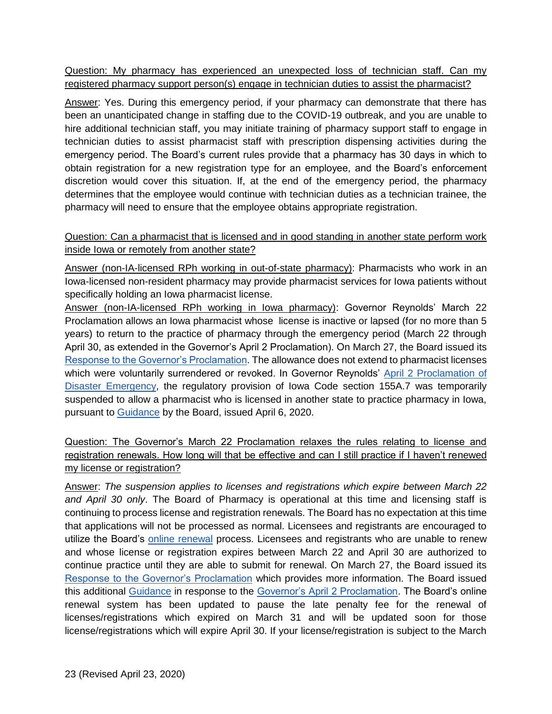<span id="page-22-0"></span>Question: My pharmacy has experienced an unexpected loss of technician staff. Can my registered pharmacy support person(s) engage in technician duties to assist the pharmacist?

Answer: Yes. During this emergency period, if your pharmacy can demonstrate that there has been an unanticipated change in staffing due to the COVID-19 outbreak, and you are unable to hire additional technician staff, you may initiate training of pharmacy support staff to engage in technician duties to assist pharmacist staff with prescription dispensing activities during the emergency period. The Board's current rules provide that a pharmacy has 30 days in which to obtain registration for a new registration type for an employee, and the Board's enforcement discretion would cover this situation. If, at the end of the emergency period, the pharmacy determines that the employee would continue with technician duties as a technician trainee, the pharmacy will need to ensure that the employee obtains appropriate registration.

#### <span id="page-22-1"></span>Question: Can a pharmacist that is licensed and in good standing in another state perform work inside Iowa or remotely from another state?

Answer (non-IA-licensed RPh working in out-of-state pharmacy): Pharmacists who work in an Iowa-licensed non-resident pharmacy may provide pharmacist services for Iowa patients without specifically holding an Iowa pharmacist license.

Answer (non-IA-licensed RPh working in Iowa pharmacy): Governor Reynolds' March 22 Proclamation allows an Iowa pharmacist whose license is inactive or lapsed (for no more than 5 years) to return to the practice of pharmacy through the emergency period (March 22 through April 30, as extended in the Governor's April 2 Proclamation). On March 27, the Board issued its [Response to the Governor's Proclamation.](https://pharmacy.iowa.gov/press-release/2020-03-27/board-pharmacy-response-governors-proclamation) The allowance does not extend to pharmacist licenses which were voluntarily surrendered or revoked. In Governor Reynolds' [April 2 Proclamation of](https://governor.iowa.gov/sites/default/files/documents/Public%20Health%20Disaster%20Proclamation%20-%202020.04.02.pdf)  [Disaster Emergency,](https://governor.iowa.gov/sites/default/files/documents/Public%20Health%20Disaster%20Proclamation%20-%202020.04.02.pdf) the regulatory provision of Iowa Code section 155A.7 was temporarily suspended to allow a pharmacist who is licensed in another state to practice pharmacy in Iowa, pursuant to [Guidance](https://pharmacy.iowa.gov/sites/default/files/documents/2020/04/board_response_to_proclamation_final.pdf) by the Board, issued April 6, 2020.

# <span id="page-22-2"></span>Question: The Governor's March 22 Proclamation relaxes the rules relating to license and registration renewals. How long will that be effective and can I still practice if I haven't renewed my license or registration?

Answer: *The suspension applies to licenses and registrations which expire between March 22 and April 30 only*. The Board of Pharmacy is operational at this time and licensing staff is continuing to process license and registration renewals. The Board has no expectation at this time that applications will not be processed as normal. Licensees and registrants are encouraged to utilize the Board's [online renewal](https://pharmacy.iowa.gov/renew-licenses-and-registrations) process. Licensees and registrants who are unable to renew and whose license or registration expires between March 22 and April 30 are authorized to continue practice until they are able to submit for renewal. On March 27, the Board issued its [Response to the Governor's Proclamation](https://pharmacy.iowa.gov/press-release/2020-03-27/board-pharmacy-response-governors-proclamation) which provides more information. The Board issued this additional [Guidance](https://pharmacy.iowa.gov/sites/default/files/documents/2020/04/board_response_to_proclamation_final.pdf) in response to the [Governor's April 2 Proclamation.](https://governor.iowa.gov/sites/default/files/documents/Public%20Health%20Disaster%20Proclamation%20-%202020.04.02.pdf) The Board's online renewal system has been updated to pause the late penalty fee for the renewal of licenses/registrations which expired on March 31 and will be updated soon for those license/registrations which will expire April 30. If your license/registration is subject to the March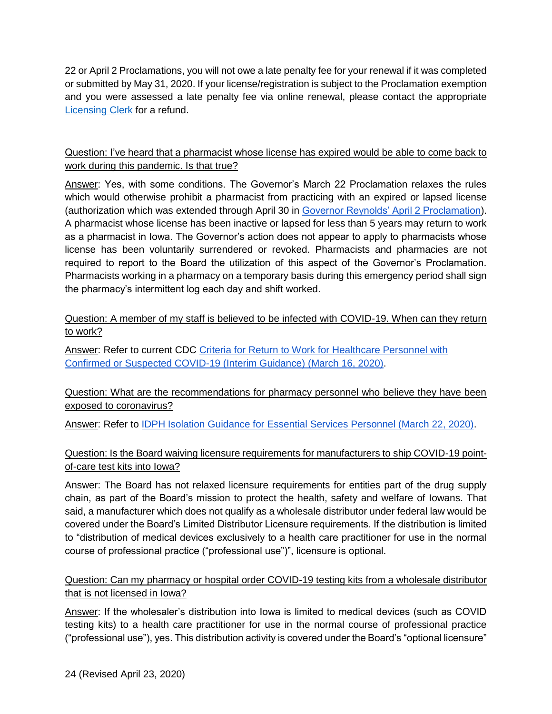22 or April 2 Proclamations, you will not owe a late penalty fee for your renewal if it was completed or submitted by May 31, 2020. If your license/registration is subject to the Proclamation exemption and you were assessed a late penalty fee via online renewal, please contact the appropriate [Licensing Clerk](https://pharmacy.iowa.gov/contact-us/board-office-staff) for a refund.

#### <span id="page-23-0"></span>Question: I've heard that a pharmacist whose license has expired would be able to come back to work during this pandemic. Is that true?

Answer: Yes, with some conditions. The Governor's March 22 Proclamation relaxes the rules which would otherwise prohibit a pharmacist from practicing with an expired or lapsed license (authorization which was extended through April 30 in [Governor Reynolds' April 2 Proclamation\)](https://governor.iowa.gov/sites/default/files/documents/Public%20Health%20Disaster%20Proclamation%20-%202020.04.02.pdf). A pharmacist whose license has been inactive or lapsed for less than 5 years may return to work as a pharmacist in Iowa. The Governor's action does not appear to apply to pharmacists whose license has been voluntarily surrendered or revoked. Pharmacists and pharmacies are not required to report to the Board the utilization of this aspect of the Governor's Proclamation. Pharmacists working in a pharmacy on a temporary basis during this emergency period shall sign the pharmacy's intermittent log each day and shift worked.

#### <span id="page-23-1"></span>Question: A member of my staff is believed to be infected with COVID-19. When can they return to work?

Answer: Refer to current CDC Criteria for Return to Work for Healthcare Personnel with [Confirmed or Suspected COVID-19 \(Interim Guidance\) \(March 16, 2020\).](https://www.cdc.gov/coronavirus/2019-ncov/healthcare-facilities/hcp-return-work.html)

#### <span id="page-23-2"></span>Question: What are the recommendations for pharmacy personnel who believe they have been exposed to coronavirus?

<span id="page-23-3"></span>Answer: Refer to [IDPH Isolation Guidance for Essential Services Personnel \(March 22, 2020\).](https://idph.iowa.gov/Portals/1/userfiles/7/3222020UpdatedIsolation%20guidance%20for%20Iowa%20essential%20services%20personnel.pdf)

## Question: Is the Board waiving licensure requirements for manufacturers to ship COVID-19 pointof-care test kits into Iowa?

Answer: The Board has not relaxed licensure requirements for entities part of the drug supply chain, as part of the Board's mission to protect the health, safety and welfare of Iowans. That said, a manufacturer which does not qualify as a wholesale distributor under federal law would be covered under the Board's Limited Distributor Licensure requirements. If the distribution is limited to "distribution of medical devices exclusively to a health care practitioner for use in the normal course of professional practice ("professional use")", licensure is optional.

## <span id="page-23-4"></span>Question: Can my pharmacy or hospital order COVID-19 testing kits from a wholesale distributor that is not licensed in Iowa?

Answer: If the wholesaler's distribution into Iowa is limited to medical devices (such as COVID testing kits) to a health care practitioner for use in the normal course of professional practice ("professional use"), yes. This distribution activity is covered under the Board's "optional licensure"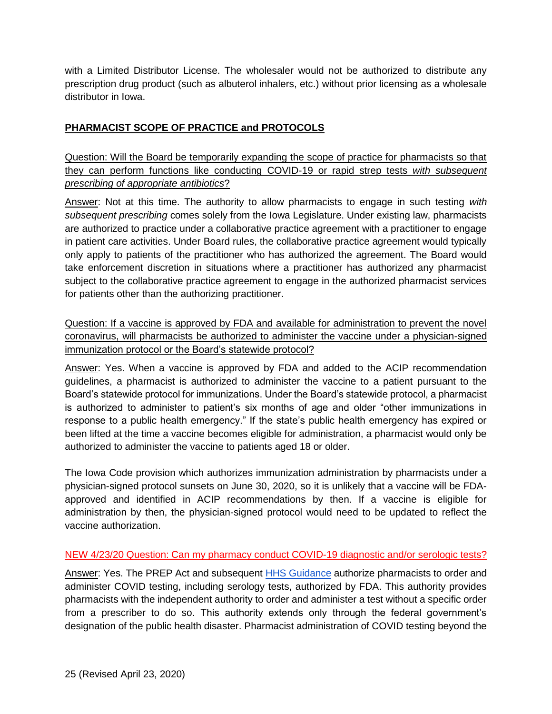with a Limited Distributor License. The wholesaler would not be authorized to distribute any prescription drug product (such as albuterol inhalers, etc.) without prior licensing as a wholesale distributor in Iowa.

#### <span id="page-24-0"></span>**PHARMACIST SCOPE OF PRACTICE and PROTOCOLS**

<span id="page-24-1"></span>Question: Will the Board be temporarily expanding the scope of practice for pharmacists so that they can perform functions like conducting COVID-19 or rapid strep tests *with subsequent prescribing of appropriate antibiotics*?

Answer: Not at this time. The authority to allow pharmacists to engage in such testing *with subsequent prescribing* comes solely from the Iowa Legislature. Under existing law, pharmacists are authorized to practice under a collaborative practice agreement with a practitioner to engage in patient care activities. Under Board rules, the collaborative practice agreement would typically only apply to patients of the practitioner who has authorized the agreement. The Board would take enforcement discretion in situations where a practitioner has authorized any pharmacist subject to the collaborative practice agreement to engage in the authorized pharmacist services for patients other than the authorizing practitioner.

<span id="page-24-2"></span>Question: If a vaccine is approved by FDA and available for administration to prevent the novel coronavirus, will pharmacists be authorized to administer the vaccine under a physician-signed immunization protocol or the Board's statewide protocol?

Answer: Yes. When a vaccine is approved by FDA and added to the ACIP recommendation guidelines, a pharmacist is authorized to administer the vaccine to a patient pursuant to the Board's statewide protocol for immunizations. Under the Board's statewide protocol, a pharmacist is authorized to administer to patient's six months of age and older "other immunizations in response to a public health emergency." If the state's public health emergency has expired or been lifted at the time a vaccine becomes eligible for administration, a pharmacist would only be authorized to administer the vaccine to patients aged 18 or older.

The Iowa Code provision which authorizes immunization administration by pharmacists under a physician-signed protocol sunsets on June 30, 2020, so it is unlikely that a vaccine will be FDAapproved and identified in ACIP recommendations by then. If a vaccine is eligible for administration by then, the physician-signed protocol would need to be updated to reflect the vaccine authorization.

#### <span id="page-24-3"></span>NEW 4/23/20 Question: Can my pharmacy conduct COVID-19 diagnostic and/or serologic tests?

Answer: Yes. The PREP Act and subsequent [HHS Guidance](https://www.hhs.gov/sites/default/files/authorizing-licensed-pharmacists-to-order-and-administer-covid-19-tests.pdf) authorize pharmacists to order and administer COVID testing, including serology tests, authorized by FDA. This authority provides pharmacists with the independent authority to order and administer a test without a specific order from a prescriber to do so. This authority extends only through the federal government's designation of the public health disaster. Pharmacist administration of COVID testing beyond the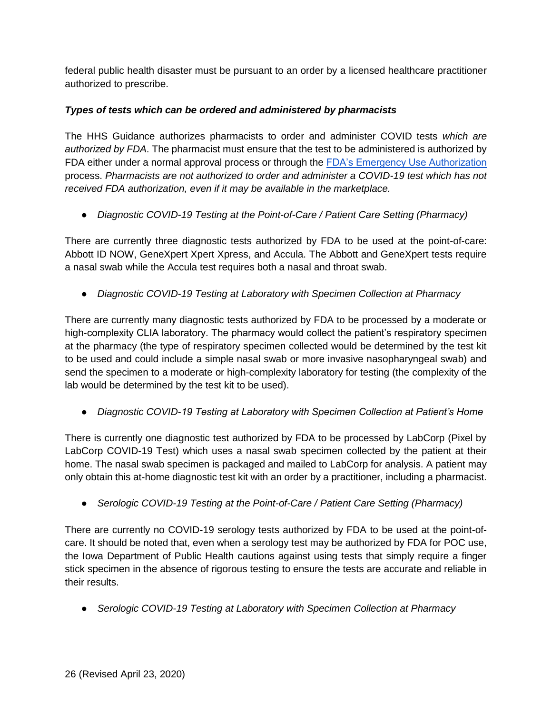federal public health disaster must be pursuant to an order by a licensed healthcare practitioner authorized to prescribe.

# *Types of tests which can be ordered and administered by pharmacists*

The HHS Guidance authorizes pharmacists to order and administer COVID tests *which are authorized by FDA*. The pharmacist must ensure that the test to be administered is authorized by FDA either under a normal approval process or through the [FDA's Emergency Use Authorization](https://www.fda.gov/medical-devices/emergency-situations-medical-devices/emergency-use-authorizations#covid19ivd) process. *Pharmacists are not authorized to order and administer a COVID-19 test which has not received FDA authorization, even if it may be available in the marketplace.*

● *Diagnostic COVID-19 Testing at the Point-of-Care / Patient Care Setting (Pharmacy)*

There are currently three diagnostic tests authorized by FDA to be used at the point-of-care: Abbott ID NOW, GeneXpert Xpert Xpress, and Accula. The Abbott and GeneXpert tests require a nasal swab while the Accula test requires both a nasal and throat swab.

● *Diagnostic COVID-19 Testing at Laboratory with Specimen Collection at Pharmacy*

There are currently many diagnostic tests authorized by FDA to be processed by a moderate or high-complexity CLIA laboratory. The pharmacy would collect the patient's respiratory specimen at the pharmacy (the type of respiratory specimen collected would be determined by the test kit to be used and could include a simple nasal swab or more invasive nasopharyngeal swab) and send the specimen to a moderate or high-complexity laboratory for testing (the complexity of the lab would be determined by the test kit to be used).

● *Diagnostic COVID-19 Testing at Laboratory with Specimen Collection at Patient's Home*

There is currently one diagnostic test authorized by FDA to be processed by LabCorp (Pixel by LabCorp COVID-19 Test) which uses a nasal swab specimen collected by the patient at their home. The nasal swab specimen is packaged and mailed to LabCorp for analysis. A patient may only obtain this at-home diagnostic test kit with an order by a practitioner, including a pharmacist.

● *Serologic COVID-19 Testing at the Point-of-Care / Patient Care Setting (Pharmacy)*

There are currently no COVID-19 serology tests authorized by FDA to be used at the point-ofcare. It should be noted that, even when a serology test may be authorized by FDA for POC use, the Iowa Department of Public Health cautions against using tests that simply require a finger stick specimen in the absence of rigorous testing to ensure the tests are accurate and reliable in their results.

● *Serologic COVID-19 Testing at Laboratory with Specimen Collection at Pharmacy*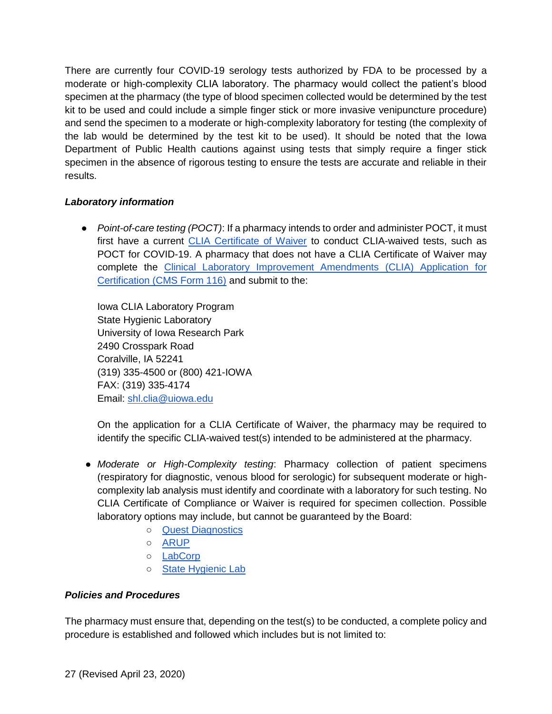There are currently four COVID-19 serology tests authorized by FDA to be processed by a moderate or high-complexity CLIA laboratory. The pharmacy would collect the patient's blood specimen at the pharmacy (the type of blood specimen collected would be determined by the test kit to be used and could include a simple finger stick or more invasive venipuncture procedure) and send the specimen to a moderate or high-complexity laboratory for testing (the complexity of the lab would be determined by the test kit to be used). It should be noted that the Iowa Department of Public Health cautions against using tests that simply require a finger stick specimen in the absence of rigorous testing to ensure the tests are accurate and reliable in their results.

## *Laboratory information*

● *Point-of-care testing (POCT)*: If a pharmacy intends to order and administer POCT, it must first have a current [CLIA Certificate of Waiver](https://www.cms.gov/Regulations-and-Guidance/Legislation/CLIA/downloads/HowObtainCertificateofWaiver.pdf) to conduct CLIA-waived tests, such as POCT for COVID-19. A pharmacy that does not have a CLIA Certificate of Waiver may complete the [Clinical Laboratory Improvement Amendments \(CLIA\) Application for](https://www.cms.gov/Medicare/CMS-Forms/CMS-Forms/Downloads/CMS116.pdf)  [Certification \(CMS Form 116\)](https://www.cms.gov/Medicare/CMS-Forms/CMS-Forms/Downloads/CMS116.pdf) and submit to the:

Iowa CLIA Laboratory Program State Hygienic Laboratory University of Iowa Research Park 2490 Crosspark Road Coralville, IA 52241 (319) 335-4500 or (800) 421-IOWA FAX: (319) 335-4174 Email: [shl.clia@uiowa.edu](mailto:shl.clia@uiowa.edu)

On the application for a CLIA Certificate of Waiver, the pharmacy may be required to identify the specific CLIA-waived test(s) intended to be administered at the pharmacy.

- *Moderate or High-Complexity testing*: Pharmacy collection of patient specimens (respiratory for diagnostic, venous blood for serologic) for subsequent moderate or highcomplexity lab analysis must identify and coordinate with a laboratory for such testing. No CLIA Certificate of Compliance or Waiver is required for specimen collection. Possible laboratory options may include, but cannot be guaranteed by the Board:
	- [Quest Diagnostics](https://www.questdiagnostics.com/home/Covid-19/HCP/)
	- [ARUP](https://www.aruplab.com/news/3-10-2020/coronavirus-testing)
	- [LabCorp](https://www.labcorp.com/coronavirus-disease-covid-19/provider-information)
	- [State Hygienic Lab](https://covidtesting.shl.uiowa.edu/)

#### *Policies and Procedures*

The pharmacy must ensure that, depending on the test(s) to be conducted, a complete policy and procedure is established and followed which includes but is not limited to: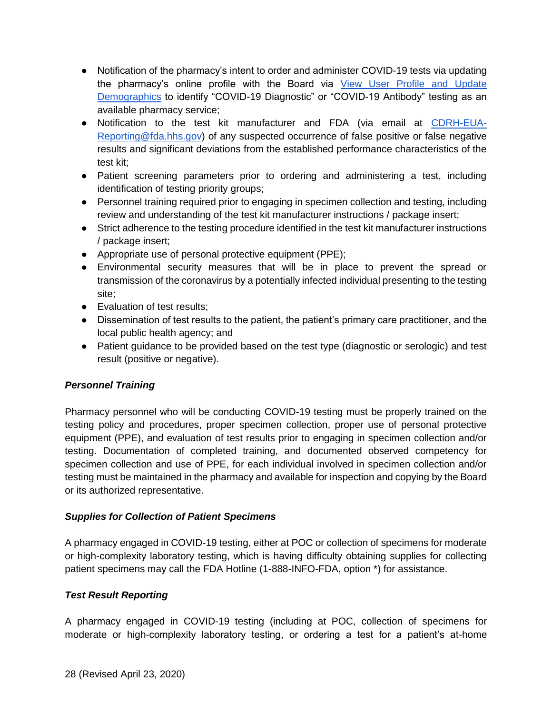- Notification of the pharmacy's intent to order and administer COVID-19 tests via updating the pharmacy's online profile with the Board via View User Profile and Update [Demographics](https://pharmacy.iowa.gov/online-services/view-user-profile-and-update-demographics) to identify "COVID-19 Diagnostic" or "COVID-19 Antibody" testing as an available pharmacy service;
- Notification to the test kit manufacturer and FDA (via email at [CDRH-EUA-](mailto:CDRH-EUA-Reporting@fda.hhs.gov)[Reporting@fda.hhs.gov\)](mailto:CDRH-EUA-Reporting@fda.hhs.gov) of any suspected occurrence of false positive or false negative results and significant deviations from the established performance characteristics of the test kit;
- Patient screening parameters prior to ordering and administering a test, including identification of testing priority groups;
- Personnel training required prior to engaging in specimen collection and testing, including review and understanding of the test kit manufacturer instructions / package insert;
- Strict adherence to the testing procedure identified in the test kit manufacturer instructions / package insert;
- Appropriate use of personal protective equipment (PPE);
- Environmental security measures that will be in place to prevent the spread or transmission of the coronavirus by a potentially infected individual presenting to the testing site;
- Evaluation of test results:
- Dissemination of test results to the patient, the patient's primary care practitioner, and the local public health agency; and
- Patient guidance to be provided based on the test type (diagnostic or serologic) and test result (positive or negative).

#### *Personnel Training*

Pharmacy personnel who will be conducting COVID-19 testing must be properly trained on the testing policy and procedures, proper specimen collection, proper use of personal protective equipment (PPE), and evaluation of test results prior to engaging in specimen collection and/or testing. Documentation of completed training, and documented observed competency for specimen collection and use of PPE, for each individual involved in specimen collection and/or testing must be maintained in the pharmacy and available for inspection and copying by the Board or its authorized representative.

#### *Supplies for Collection of Patient Specimens*

A pharmacy engaged in COVID-19 testing, either at POC or collection of specimens for moderate or high-complexity laboratory testing, which is having difficulty obtaining supplies for collecting patient specimens may call the FDA Hotline (1-888-INFO-FDA, option \*) for assistance.

#### *Test Result Reporting*

A pharmacy engaged in COVID-19 testing (including at POC, collection of specimens for moderate or high-complexity laboratory testing, or ordering a test for a patient's at-home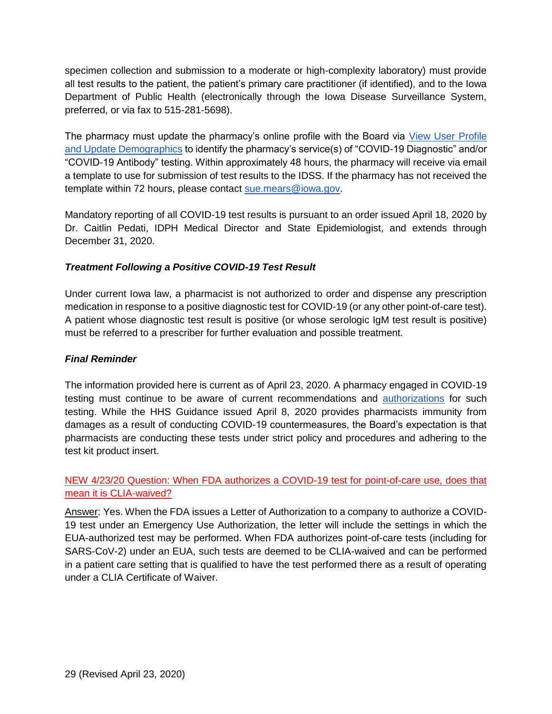specimen collection and submission to a moderate or high-complexity laboratory) must provide all test results to the patient, the patient's primary care practitioner (if identified), and to the Iowa Department of Public Health (electronically through the Iowa Disease Surveillance System, preferred, or via fax to 515-281-5698).

The pharmacy must update the pharmacy's online profile with the Board via [View User Profile](https://pharmacy.iowa.gov/online-services/view-user-profile-and-update-demographics)  [and Update Demographics](https://pharmacy.iowa.gov/online-services/view-user-profile-and-update-demographics) to identify the pharmacy's service(s) of "COVID-19 Diagnostic" and/or "COVID-19 Antibody" testing. Within approximately 48 hours, the pharmacy will receive via email a template to use for submission of test results to the IDSS. If the pharmacy has not received the template within 72 hours, please contact [sue.mears@iowa.gov.](mailto:sue.mears@iowa.gov)

Mandatory reporting of all COVID-19 test results is pursuant to an order issued April 18, 2020 by Dr. Caitlin Pedati, IDPH Medical Director and State Epidemiologist, and extends through December 31, 2020.

#### *Treatment Following a Positive COVID-19 Test Result*

Under current Iowa law, a pharmacist is not authorized to order and dispense any prescription medication in response to a positive diagnostic test for COVID-19 (or any other point-of-care test). A patient whose diagnostic test result is positive (or whose serologic IgM test result is positive) must be referred to a prescriber for further evaluation and possible treatment.

#### *Final Reminder*

The information provided here is current as of April 23, 2020. A pharmacy engaged in COVID-19 testing must continue to be aware of current recommendations and [authorizations](https://www.fda.gov/medical-devices/emergency-situations-medical-devices/emergency-use-authorizations#covid19ivd) for such testing. While the HHS Guidance issued April 8, 2020 provides pharmacists immunity from damages as a result of conducting COVID-19 countermeasures, the Board's expectation is that pharmacists are conducting these tests under strict policy and procedures and adhering to the test kit product insert.

<span id="page-28-0"></span>NEW 4/23/20 Question: When FDA authorizes a COVID-19 test for point-of-care use, does that mean it is CLIA-waived?

Answer: Yes. When the FDA issues a Letter of Authorization to a company to authorize a COVID-19 test under an Emergency Use Authorization, the letter will include the settings in which the EUA-authorized test may be performed. When FDA authorizes point-of-care tests (including for SARS-CoV-2) under an EUA, such tests are deemed to be CLIA-waived and can be performed in a patient care setting that is qualified to have the test performed there as a result of operating under a CLIA Certificate of Waiver.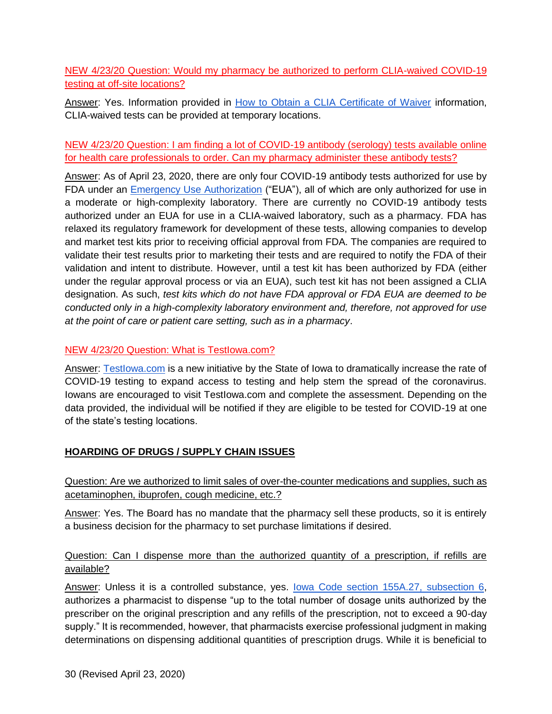<span id="page-29-0"></span>NEW 4/23/20 Question: Would my pharmacy be authorized to perform CLIA-waived COVID-19 testing at off-site locations?

Answer: Yes. Information provided in [How to Obtain a CLIA Certificate of Waiver](https://www.cms.gov/Regulations-and-Guidance/Legislation/CLIA/downloads/HowObtainCertificateofWaiver.pdf) information, CLIA-waived tests can be provided at temporary locations.

## <span id="page-29-1"></span>NEW 4/23/20 Question: I am finding a lot of COVID-19 antibody (serology) tests available online for health care professionals to order. Can my pharmacy administer these antibody tests?

Answer: As of April 23, 2020, there are only four COVID-19 antibody tests authorized for use by FDA under an [Emergency Use Authorization](https://www.fda.gov/medical-devices/emergency-situations-medical-devices/emergency-use-authorizations#covid19ivd) ("EUA"), all of which are only authorized for use in a moderate or high-complexity laboratory. There are currently no COVID-19 antibody tests authorized under an EUA for use in a CLIA-waived laboratory, such as a pharmacy. FDA has relaxed its regulatory framework for development of these tests, allowing companies to develop and market test kits prior to receiving official approval from FDA. The companies are required to validate their test results prior to marketing their tests and are required to notify the FDA of their validation and intent to distribute. However, until a test kit has been authorized by FDA (either under the regular approval process or via an EUA), such test kit has not been assigned a CLIA designation. As such, *test kits which do not have FDA approval or FDA EUA are deemed to be conducted only in a high-complexity laboratory environment and, therefore, not approved for use at the point of care or patient care setting, such as in a pharmacy*.

#### <span id="page-29-2"></span>NEW 4/23/20 Question: What is TestIowa.com?

Answer: Testlowa.com is a new initiative by the State of Iowa to dramatically increase the rate of COVID-19 testing to expand access to testing and help stem the spread of the coronavirus. Iowans are encouraged to visit TestIowa.com and complete the assessment. Depending on the data provided, the individual will be notified if they are eligible to be tested for COVID-19 at one of the state's testing locations.

# <span id="page-29-3"></span>**HOARDING OF DRUGS / SUPPLY CHAIN ISSUES**

## <span id="page-29-4"></span>Question: Are we authorized to limit sales of over-the-counter medications and supplies, such as acetaminophen, ibuprofen, cough medicine, etc.?

Answer: Yes. The Board has no mandate that the pharmacy sell these products, so it is entirely a business decision for the pharmacy to set purchase limitations if desired.

#### <span id="page-29-5"></span>Question: Can I dispense more than the authorized quantity of a prescription, if refills are available?

Answer: Unless it is a controlled substance, yes. [Iowa Code section 155A.27, subsection 6,](https://www.legis.iowa.gov/docs/code/155a.27.pdf) authorizes a pharmacist to dispense "up to the total number of dosage units authorized by the prescriber on the original prescription and any refills of the prescription, not to exceed a 90-day supply." It is recommended, however, that pharmacists exercise professional judgment in making determinations on dispensing additional quantities of prescription drugs. While it is beneficial to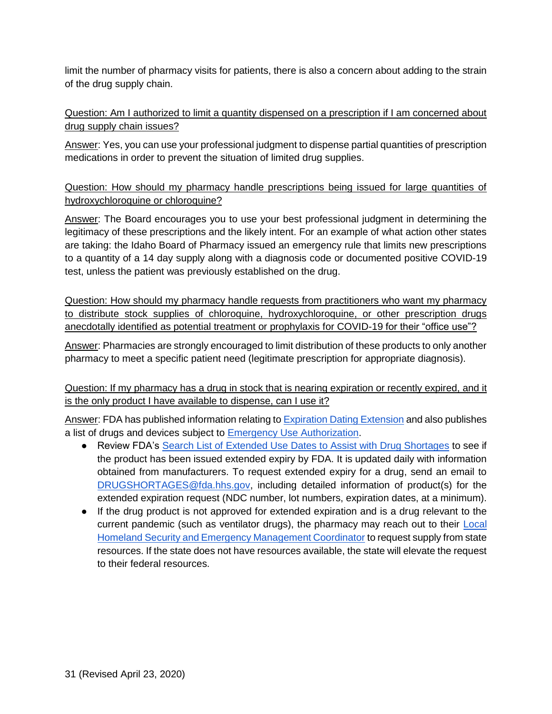limit the number of pharmacy visits for patients, there is also a concern about adding to the strain of the drug supply chain.

<span id="page-30-0"></span>Question: Am I authorized to limit a quantity dispensed on a prescription if I am concerned about drug supply chain issues?

Answer: Yes, you can use your professional judgment to dispense partial quantities of prescription medications in order to prevent the situation of limited drug supplies.

<span id="page-30-1"></span>Question: How should my pharmacy handle prescriptions being issued for large quantities of hydroxychloroquine or chloroquine?

Answer: The Board encourages you to use your best professional judgment in determining the legitimacy of these prescriptions and the likely intent. For an example of what action other states are taking: the Idaho Board of Pharmacy issued an emergency rule that limits new prescriptions to a quantity of a 14 day supply along with a diagnosis code or documented positive COVID-19 test, unless the patient was previously established on the drug.

<span id="page-30-2"></span>Question: How should my pharmacy handle requests from practitioners who want my pharmacy to distribute stock supplies of chloroquine, hydroxychloroquine, or other prescription drugs anecdotally identified as potential treatment or prophylaxis for COVID-19 for their "office use"?

Answer: Pharmacies are strongly encouraged to limit distribution of these products to only another pharmacy to meet a specific patient need (legitimate prescription for appropriate diagnosis).

<span id="page-30-3"></span>Question: If my pharmacy has a drug in stock that is nearing expiration or recently expired, and it is the only product I have available to dispense, can I use it?

Answer: FDA has published information relating t[o Expiration Dating Extension](https://www.fda.gov/emergency-preparedness-and-response/mcm-legal-regulatory-and-policy-framework/expiration-dating-extension#manufacturer) and also publishes a list of drugs and devices subject to [Emergency Use Authorization.](https://www.fda.gov/emergency-preparedness-and-response/mcm-legal-regulatory-and-policy-framework/emergency-use-authorization#2019-ncov)

- Review FDA's Search List of Extended Use [Dates to Assist with Drug Shortages](https://www.fda.gov/drugs/drug-shortages/search-list-extended-use-dates-assist-drug-shortages) to see if the product has been issued extended expiry by FDA. It is updated daily with information obtained from manufacturers. To request extended expiry for a drug, send an email to [DRUGSHORTAGES@fda.hhs.gov,](mailto:DRUGSHORTAGES@fda.hhs.gov) including detailed information of product(s) for the extended expiration request (NDC number, lot numbers, expiration dates, at a minimum).
- If the drug product is not approved for extended expiration and is a drug relevant to the current pandemic (such as ventilator drugs), the pharmacy may reach out to their Local [Homeland Security and Emergency Management Coordinator](https://www.homelandsecurity.iowa.gov/documents/county/COORD_Public_List.pdf) to request supply from state resources. If the state does not have resources available, the state will elevate the request to their federal resources.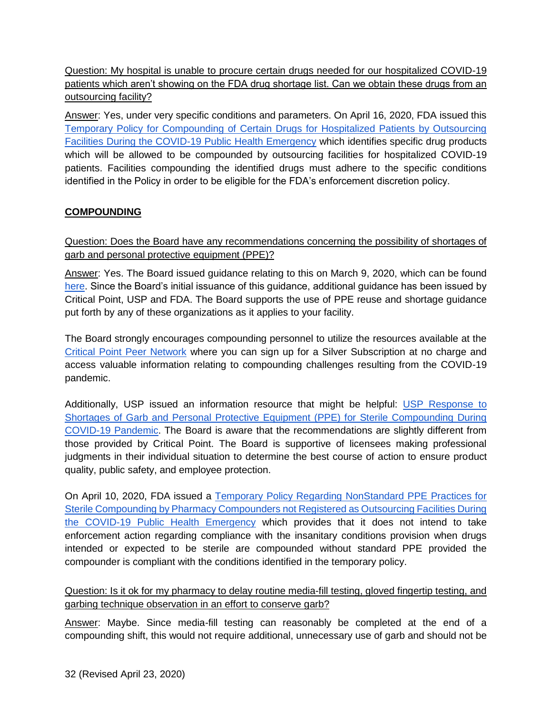<span id="page-31-0"></span>Question: My hospital is unable to procure certain drugs needed for our hospitalized COVID-19 patients which aren't showing on the FDA drug shortage list. Can we obtain these drugs from an outsourcing facility?

Answer: Yes, under very specific conditions and parameters. On April 16, 2020, FDA issued this [Temporary Policy for Compounding of Certain Drugs for Hospitalized Patients by Outsourcing](https://www.fda.gov/media/137031/download)  [Facilities During the COVID-19 Public Health Emergency](https://www.fda.gov/media/137031/download) which identifies specific drug products which will be allowed to be compounded by outsourcing facilities for hospitalized COVID-19 patients. Facilities compounding the identified drugs must adhere to the specific conditions identified in the Policy in order to be eligible for the FDA's enforcement discretion policy.

# <span id="page-31-1"></span>**COMPOUNDING**

<span id="page-31-2"></span>Question: Does the Board have any recommendations concerning the possibility of shortages of garb and personal protective equipment (PPE)?

Answer: Yes. The Board issued guidance relating to this on March 9, 2020, which can be found [here.](https://pharmacy.iowa.gov/press-release/2020-03-09/what-should-my-pharmacy-do-if-we-have-limited-supplies-compounding-garb) Since the Board's initial issuance of this guidance, additional guidance has been issued by Critical Point, USP and FDA. The Board supports the use of PPE reuse and shortage guidance put forth by any of these organizations as it applies to your facility.

The Board strongly encourages compounding personnel to utilize the resources available at the [Critical Point Peer Network](https://peernetwork.criticalpoint.info/) where you can sign up for a Silver Subscription at no charge and access valuable information relating to compounding challenges resulting from the COVID-19 pandemic.

Additionally, USP issued an information resource that might be helpful: [USP Response to](https://www.usp.org/sites/default/files/usp/document/about/public-policy/usp-covid19-garb-and-ppe.pdf)  [Shortages of Garb and Personal Protective Equipment \(PPE\) for Sterile Compounding During](https://www.usp.org/sites/default/files/usp/document/about/public-policy/usp-covid19-garb-and-ppe.pdf)  [COVID-19 Pandemic.](https://www.usp.org/sites/default/files/usp/document/about/public-policy/usp-covid19-garb-and-ppe.pdf) The Board is aware that the recommendations are slightly different from those provided by Critical Point. The Board is supportive of licensees making professional judgments in their individual situation to determine the best course of action to ensure product quality, public safety, and employee protection.

On April 10, 2020, FDA issued a [Temporary Policy Regarding NonStandard PPE Practices for](https://www.fda.gov/media/136841/download)  [Sterile Compounding by Pharmacy Compounders not Registered as Outsourcing Facilities During](https://www.fda.gov/media/136841/download)  [the COVID-19 Public Health Emergency](https://www.fda.gov/media/136841/download) which provides that it does not intend to take enforcement action regarding compliance with the insanitary conditions provision when drugs intended or expected to be sterile are compounded without standard PPE provided the compounder is compliant with the conditions identified in the temporary policy.

<span id="page-31-3"></span>Question: Is it ok for my pharmacy to delay routine media-fill testing, gloved fingertip testing, and garbing technique observation in an effort to conserve garb?

Answer: Maybe. Since media-fill testing can reasonably be completed at the end of a compounding shift, this would not require additional, unnecessary use of garb and should not be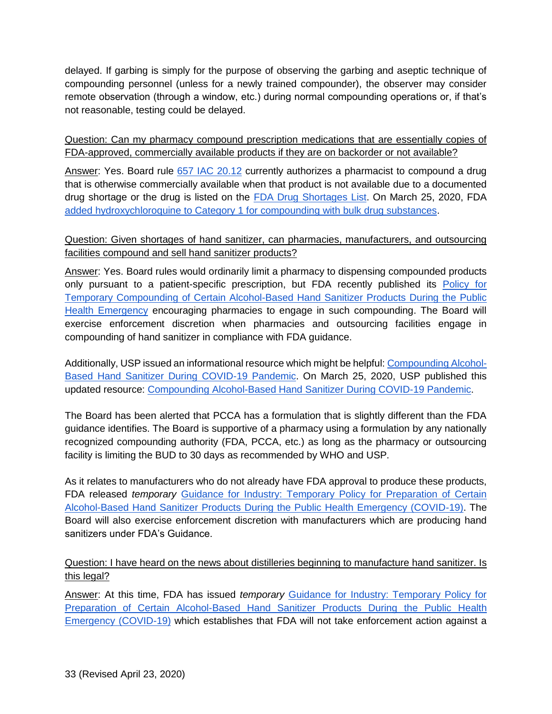delayed. If garbing is simply for the purpose of observing the garbing and aseptic technique of compounding personnel (unless for a newly trained compounder), the observer may consider remote observation (through a window, etc.) during normal compounding operations or, if that's not reasonable, testing could be delayed.

<span id="page-32-0"></span>Question: Can my pharmacy compound prescription medications that are essentially copies of FDA-approved, commercially available products if they are on backorder or not available?

Answer: Yes. Board rule [657 IAC 20.12](https://www.legis.iowa.gov/docs/iac/rule/05-22-2019.657.20.12.pdf) currently authorizes a pharmacist to compound a drug that is otherwise commercially available when that product is not available due to a documented drug shortage or the drug is listed on the [FDA Drug Shortages List.](https://www.accessdata.fda.gov/scripts/drugshortages/default.cfm) On March 25, 2020, FDA [added hydroxychloroquine to Category 1 for compounding with bulk drug substances.](https://www.fda.gov/news-events/press-announcements/coronavirus-covid-19-update-daily-roundup-march-25-2020?utm_campaign=032520_PR_Coronavirus%20%28COVID-19%29%20Update%3A%20Daily%20Roundup--March%2025%2C%202020&utm_medium=email&utm_source=Eloqua)

## <span id="page-32-1"></span>Question: Given shortages of hand sanitizer, can pharmacies, manufacturers, and outsourcing facilities compound and sell hand sanitizer products?

Answer: Yes. Board rules would ordinarily limit a pharmacy to dispensing compounded products only pursuant to a patient-specific prescription, but FDA recently published its [Policy for](https://www.fda.gov/regulatory-information/search-fda-guidance-documents/policy-temporary-compounding-certain-alcohol-based-hand-sanitizer-products-during-public-health?utm_campaign=Policy%20for%20Temporary%20Compounding%20of%20Certain%20Alcohol-Based%20Hand%20Sanitizer%20Products%20During&utm_medium=email&utm_source=Eloqua)  [Temporary Compounding of Certain Alcohol-Based Hand Sanitizer Products During the Public](https://www.fda.gov/regulatory-information/search-fda-guidance-documents/policy-temporary-compounding-certain-alcohol-based-hand-sanitizer-products-during-public-health?utm_campaign=Policy%20for%20Temporary%20Compounding%20of%20Certain%20Alcohol-Based%20Hand%20Sanitizer%20Products%20During&utm_medium=email&utm_source=Eloqua)  [Health Emergency](https://www.fda.gov/regulatory-information/search-fda-guidance-documents/policy-temporary-compounding-certain-alcohol-based-hand-sanitizer-products-during-public-health?utm_campaign=Policy%20for%20Temporary%20Compounding%20of%20Certain%20Alcohol-Based%20Hand%20Sanitizer%20Products%20During&utm_medium=email&utm_source=Eloqua) encouraging pharmacies to engage in such compounding. The Board will exercise enforcement discretion when pharmacies and outsourcing facilities engage in compounding of hand sanitizer in compliance with FDA guidance.

Additionally, USP issued an informational resource which might be helpful[: Compounding Alcohol-](https://www.usp.org/sites/default/files/usp/document/about/public-policy/usp-covid19-handrub.pdf)[Based Hand Sanitizer During COVID-19 Pandemic.](https://www.usp.org/sites/default/files/usp/document/about/public-policy/usp-covid19-handrub.pdf) On March 25, 2020, USP published this updated resource: [Compounding Alcohol-Based Hand Sanitizer During COVID-19 Pandemic.](https://www.usp.org/sites/default/files/usp/document/about/public-policy/usp-covid19-handrub.pdf)

The Board has been alerted that PCCA has a formulation that is slightly different than the FDA guidance identifies. The Board is supportive of a pharmacy using a formulation by any nationally recognized compounding authority (FDA, PCCA, etc.) as long as the pharmacy or outsourcing facility is limiting the BUD to 30 days as recommended by WHO and USP.

As it relates to manufacturers who do not already have FDA approval to produce these products, FDA released *temporary* [Guidance for Industry: Temporary Policy for Preparation of Certain](https://www.fda.gov/regulatory-information/search-fda-guidance-documents/guidance-industry-temporary-policy-preparation-certain-alcohol-based-hand-sanitizer-products-during?utm_campaign=COVID-19%20Update%3A%20FDA%20provides%20guidance%20on%20production%20of%20alcohol-based%20hand%20sanitizer&utm_medium=email&utm_source=Eloqua)  [Alcohol-Based Hand Sanitizer Products During the Public Health Emergency \(COVID-19\).](https://www.fda.gov/regulatory-information/search-fda-guidance-documents/guidance-industry-temporary-policy-preparation-certain-alcohol-based-hand-sanitizer-products-during?utm_campaign=COVID-19%20Update%3A%20FDA%20provides%20guidance%20on%20production%20of%20alcohol-based%20hand%20sanitizer&utm_medium=email&utm_source=Eloqua) The Board will also exercise enforcement discretion with manufacturers which are producing hand sanitizers under FDA's Guidance.

## <span id="page-32-2"></span>Question: I have heard on the news about distilleries beginning to manufacture hand sanitizer. Is this legal?

Answer: At this time, FDA has issued *temporary* [Guidance for Industry: Temporary Policy for](https://www.fda.gov/regulatory-information/search-fda-guidance-documents/guidance-industry-temporary-policy-preparation-certain-alcohol-based-hand-sanitizer-products-during?utm_campaign=COVID-19%20Update%3A%20FDA%20provides%20guidance%20on%20production%20of%20alcohol-based%20hand%20sanitizer&utm_medium=email&utm_source=Eloqua)  [Preparation of Certain Alcohol-Based Hand Sanitizer Products During the Public Health](https://www.fda.gov/regulatory-information/search-fda-guidance-documents/guidance-industry-temporary-policy-preparation-certain-alcohol-based-hand-sanitizer-products-during?utm_campaign=COVID-19%20Update%3A%20FDA%20provides%20guidance%20on%20production%20of%20alcohol-based%20hand%20sanitizer&utm_medium=email&utm_source=Eloqua)  [Emergency \(COVID-19\)](https://www.fda.gov/regulatory-information/search-fda-guidance-documents/guidance-industry-temporary-policy-preparation-certain-alcohol-based-hand-sanitizer-products-during?utm_campaign=COVID-19%20Update%3A%20FDA%20provides%20guidance%20on%20production%20of%20alcohol-based%20hand%20sanitizer&utm_medium=email&utm_source=Eloqua) which establishes that FDA will not take enforcement action against a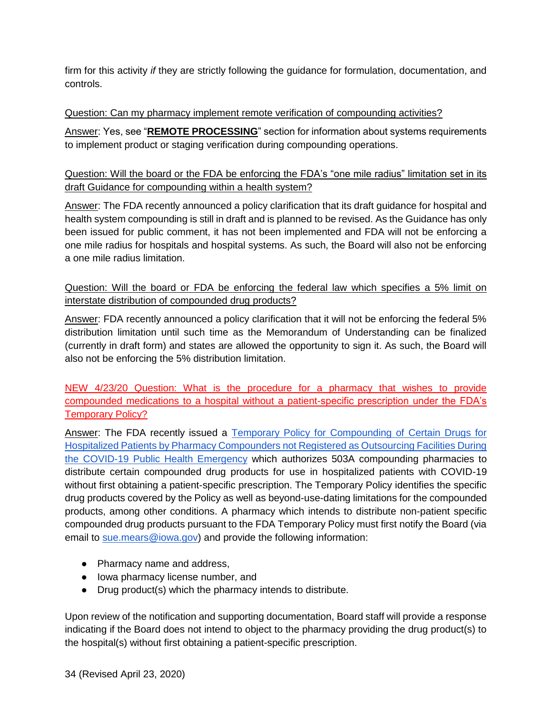firm for this activity *if* they are strictly following the guidance for formulation, documentation, and controls.

#### <span id="page-33-0"></span>Question: Can my pharmacy implement remote verification of compounding activities?

Answer: Yes, see "**REMOTE PROCESSING**" section for information about systems requirements to implement product or staging verification during compounding operations.

## <span id="page-33-1"></span>Question: Will the board or the FDA be enforcing the FDA's "one mile radius" limitation set in its draft Guidance for compounding within a health system?

Answer: The FDA recently announced a policy clarification that its draft guidance for hospital and health system compounding is still in draft and is planned to be revised. As the Guidance has only been issued for public comment, it has not been implemented and FDA will not be enforcing a one mile radius for hospitals and hospital systems. As such, the Board will also not be enforcing a one mile radius limitation.

<span id="page-33-2"></span>Question: Will the board or FDA be enforcing the federal law which specifies a 5% limit on interstate distribution of compounded drug products?

Answer: FDA recently announced a policy clarification that it will not be enforcing the federal 5% distribution limitation until such time as the Memorandum of Understanding can be finalized (currently in draft form) and states are allowed the opportunity to sign it. As such, the Board will also not be enforcing the 5% distribution limitation.

<span id="page-33-3"></span>NEW 4/23/20 Question: What is the procedure for a pharmacy that wishes to provide compounded medications to a hospital without a patient-specific prescription under the FDA's Temporary Policy?

Answer: The FDA recently issued a Temporary Policy for Compounding of Certain Drugs for [Hospitalized Patients by Pharmacy Compounders not Registered as Outsourcing Facilities During](https://www.fda.gov/media/137125/download)  [the COVID-19 Public Health Emergency](https://www.fda.gov/media/137125/download) which authorizes 503A compounding pharmacies to distribute certain compounded drug products for use in hospitalized patients with COVID-19 without first obtaining a patient-specific prescription. The Temporary Policy identifies the specific drug products covered by the Policy as well as beyond-use-dating limitations for the compounded products, among other conditions. A pharmacy which intends to distribute non-patient specific compounded drug products pursuant to the FDA Temporary Policy must first notify the Board (via email to [sue.mears@iowa.gov\)](mailto:sue.mears@iowa.gov) and provide the following information:

- Pharmacy name and address,
- Iowa pharmacy license number, and
- Drug product(s) which the pharmacy intends to distribute.

Upon review of the notification and supporting documentation, Board staff will provide a response indicating if the Board does not intend to object to the pharmacy providing the drug product(s) to the hospital(s) without first obtaining a patient-specific prescription.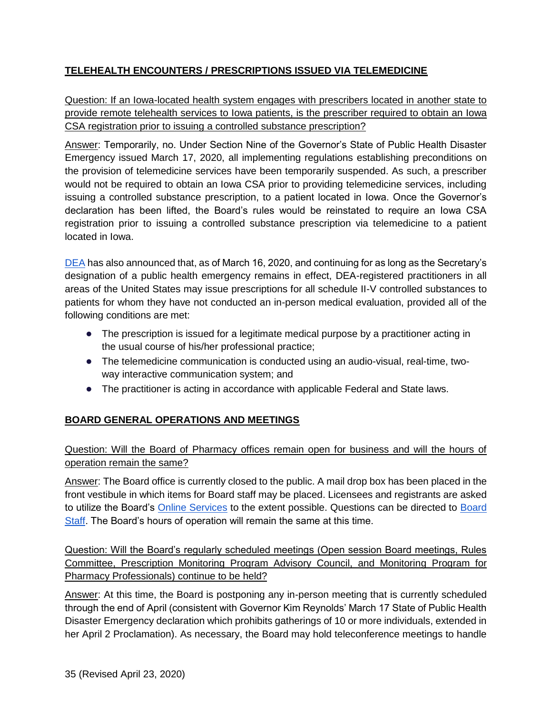# <span id="page-34-0"></span>**TELEHEALTH ENCOUNTERS / PRESCRIPTIONS ISSUED VIA TELEMEDICINE**

<span id="page-34-1"></span>Question: If an Iowa-located health system engages with prescribers located in another state to provide remote telehealth services to Iowa patients, is the prescriber required to obtain an Iowa CSA registration prior to issuing a controlled substance prescription?

Answer: Temporarily, no. Under Section Nine of the Governor's State of Public Health Disaster Emergency issued March 17, 2020, all implementing regulations establishing preconditions on the provision of telemedicine services have been temporarily suspended. As such, a prescriber would not be required to obtain an Iowa CSA prior to providing telemedicine services, including issuing a controlled substance prescription, to a patient located in Iowa. Once the Governor's declaration has been lifted, the Board's rules would be reinstated to require an Iowa CSA registration prior to issuing a controlled substance prescription via telemedicine to a patient located in Iowa.

[DEA](https://www.deadiversion.usdoj.gov/coronavirus.html) has also announced that, as of March 16, 2020, and continuing for as long as the Secretary's designation of a public health emergency remains in effect, DEA-registered practitioners in all areas of the United States may issue prescriptions for all schedule II-V controlled substances to patients for whom they have not conducted an in-person medical evaluation, provided all of the following conditions are met:

- The prescription is issued for a legitimate medical purpose by a practitioner acting in the usual course of his/her professional practice;
- The telemedicine communication is conducted using an audio-visual, real-time, twoway interactive communication system; and
- The practitioner is acting in accordance with applicable Federal and State laws.

# <span id="page-34-2"></span>**BOARD GENERAL OPERATIONS AND MEETINGS**

# <span id="page-34-3"></span>Question: Will the Board of Pharmacy offices remain open for business and will the hours of operation remain the same?

Answer: The Board office is currently closed to the public. A mail drop box has been placed in the front vestibule in which items for Board staff may be placed. Licensees and registrants are asked to utilize the Board's [Online Services](https://pharmacy.iowa.gov/online-services) to the extent possible. Questions can be directed to [Board](https://pharmacy.iowa.gov/contact-us)  [Staff.](https://pharmacy.iowa.gov/contact-us) The Board's hours of operation will remain the same at this time.

<span id="page-34-4"></span>Question: Will the Board's regularly scheduled meetings (Open session Board meetings, Rules Committee, Prescription Monitoring Program Advisory Council, and Monitoring Program for Pharmacy Professionals) continue to be held?

Answer: At this time, the Board is postponing any in-person meeting that is currently scheduled through the end of April (consistent with Governor Kim Reynolds' March 17 State of Public Health Disaster Emergency declaration which prohibits gatherings of 10 or more individuals, extended in her April 2 Proclamation). As necessary, the Board may hold teleconference meetings to handle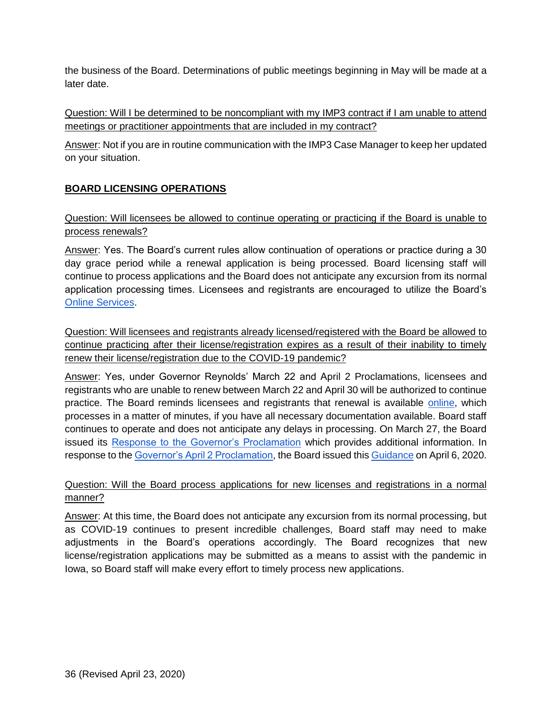the business of the Board. Determinations of public meetings beginning in May will be made at a later date.

<span id="page-35-0"></span>Question: Will I be determined to be noncompliant with my IMP3 contract if I am unable to attend meetings or practitioner appointments that are included in my contract?

Answer: Not if you are in routine communication with the IMP3 Case Manager to keep her updated on your situation.

## <span id="page-35-1"></span>**BOARD LICENSING OPERATIONS**

#### <span id="page-35-2"></span>Question: Will licensees be allowed to continue operating or practicing if the Board is unable to process renewals?

Answer: Yes. The Board's current rules allow continuation of operations or practice during a 30 day grace period while a renewal application is being processed. Board licensing staff will continue to process applications and the Board does not anticipate any excursion from its normal application processing times. Licensees and registrants are encouraged to utilize the Board's [Online Services.](https://pharmacy.iowa.gov/online-services)

<span id="page-35-3"></span>Question: Will licensees and registrants already licensed/registered with the Board be allowed to continue practicing after their license/registration expires as a result of their inability to timely renew their license/registration due to the COVID-19 pandemic?

Answer: Yes, under Governor Reynolds' March 22 and April 2 Proclamations, licensees and registrants who are unable to renew between March 22 and April 30 will be authorized to continue practice. The Board reminds licensees and registrants that renewal is available [online,](https://pharmacy.iowa.gov/renew-licenses-and-registrations) which processes in a matter of minutes, if you have all necessary documentation available. Board staff continues to operate and does not anticipate any delays in processing. On March 27, the Board issued its [Response to the Governor's Proclamation](https://pharmacy.iowa.gov/press-release/2020-03-27/board-pharmacy-response-governors-proclamation) which provides additional information. In response to the [Governor's April 2 Proclamation,](https://governor.iowa.gov/sites/default/files/documents/Public%20Health%20Disaster%20Proclamation%20-%202020.04.02.pdf) the Board issued this [Guidance](https://pharmacy.iowa.gov/sites/default/files/documents/2020/04/board_response_to_proclamation_final.pdf) on April 6, 2020.

#### <span id="page-35-4"></span>Question: Will the Board process applications for new licenses and registrations in a normal manner?

Answer: At this time, the Board does not anticipate any excursion from its normal processing, but as COVID-19 continues to present incredible challenges, Board staff may need to make adjustments in the Board's operations accordingly. The Board recognizes that new license/registration applications may be submitted as a means to assist with the pandemic in Iowa, so Board staff will make every effort to timely process new applications.